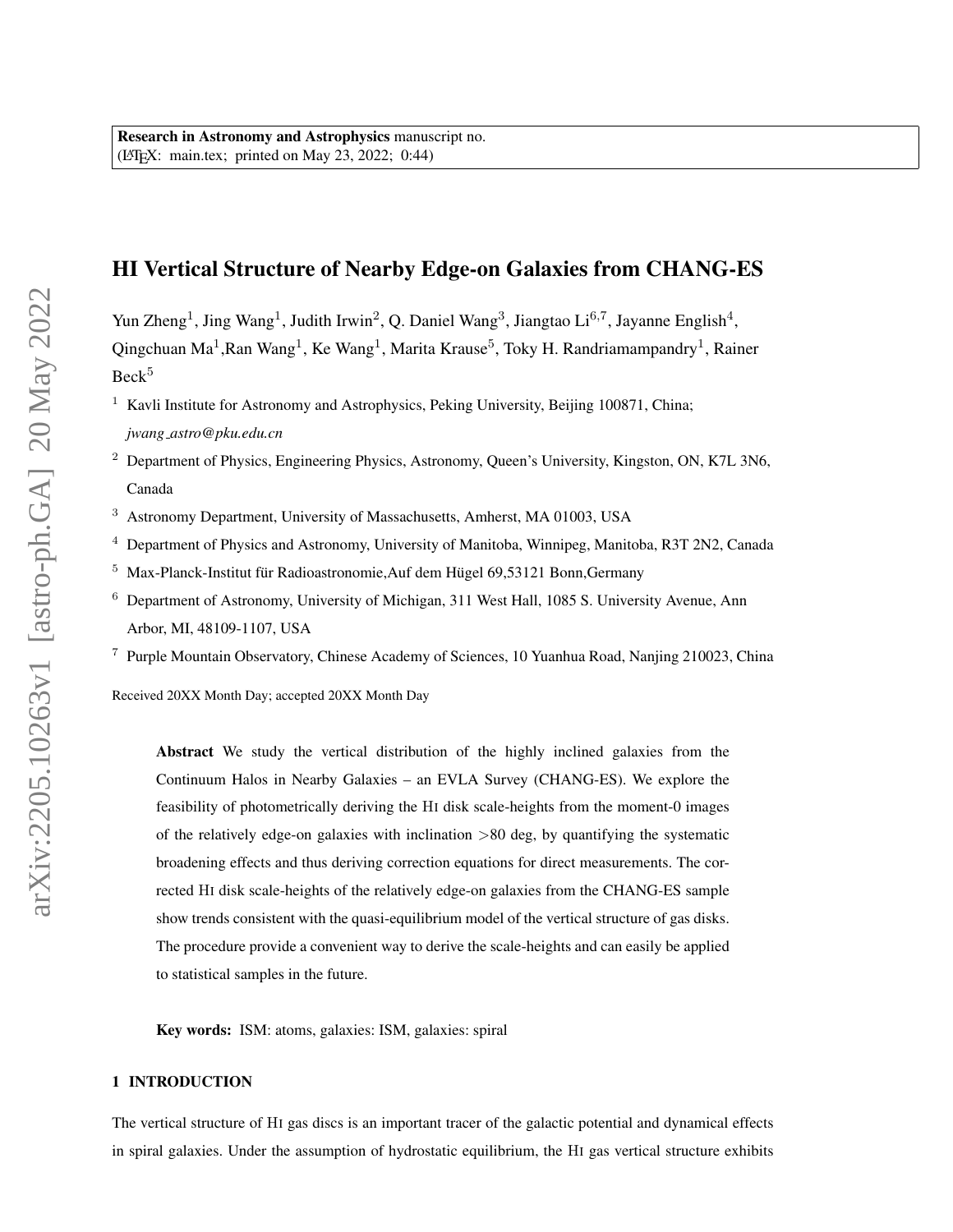# HI Vertical Structure of Nearby Edge-on Galaxies from CHANG-ES

Yun Zheng<sup>1</sup>, Jing Wang<sup>1</sup>, Judith Irwin<sup>2</sup>, Q. Daniel Wang<sup>3</sup>, Jiangtao Li<sup>6,7</sup>, Jayanne English<sup>4</sup>, Qingchuan Ma<sup>1</sup>, Ran Wang<sup>1</sup>, Ke Wang<sup>1</sup>, Marita Krause<sup>5</sup>, Toky H. Randriamampandry<sup>1</sup>, Rainer Beck<sup>5</sup>

<sup>1</sup> Kavli Institute for Astronomy and Astrophysics, Peking University, Beijing 100871, China: *jwang astro@pku.edu.cn*

- <sup>2</sup> Department of Physics, Engineering Physics, Astronomy, Queen's University, Kingston, ON, K7L 3N6, Canada
- <sup>3</sup> Astronomy Department, University of Massachusetts, Amherst, MA 01003, USA
- <sup>4</sup> Department of Physics and Astronomy, University of Manitoba, Winnipeg, Manitoba, R3T 2N2, Canada
- $5$  Max-Planck-Institut für Radioastronomie, Auf dem Hügel 69,53121 Bonn, Germany
- <sup>6</sup> Department of Astronomy, University of Michigan, 311 West Hall, 1085 S. University Avenue, Ann Arbor, MI, 48109-1107, USA

<sup>7</sup> Purple Mountain Observatory, Chinese Academy of Sciences, 10 Yuanhua Road, Nanjing 210023, China

Received 20XX Month Day; accepted 20XX Month Day

Abstract We study the vertical distribution of the highly inclined galaxies from the Continuum Halos in Nearby Galaxies – an EVLA Survey (CHANG-ES). We explore the feasibility of photometrically deriving the HI disk scale-heights from the moment-0 images of the relatively edge-on galaxies with inclination  $>80$  deg, by quantifying the systematic broadening effects and thus deriving correction equations for direct measurements. The corrected HI disk scale-heights of the relatively edge-on galaxies from the CHANG-ES sample show trends consistent with the quasi-equilibrium model of the vertical structure of gas disks. The procedure provide a convenient way to derive the scale-heights and can easily be applied to statistical samples in the future.

Key words: ISM: atoms, galaxies: ISM, galaxies: spiral

## 1 INTRODUCTION

The vertical structure of HI gas discs is an important tracer of the galactic potential and dynamical effects in spiral galaxies. Under the assumption of hydrostatic equilibrium, the HI gas vertical structure exhibits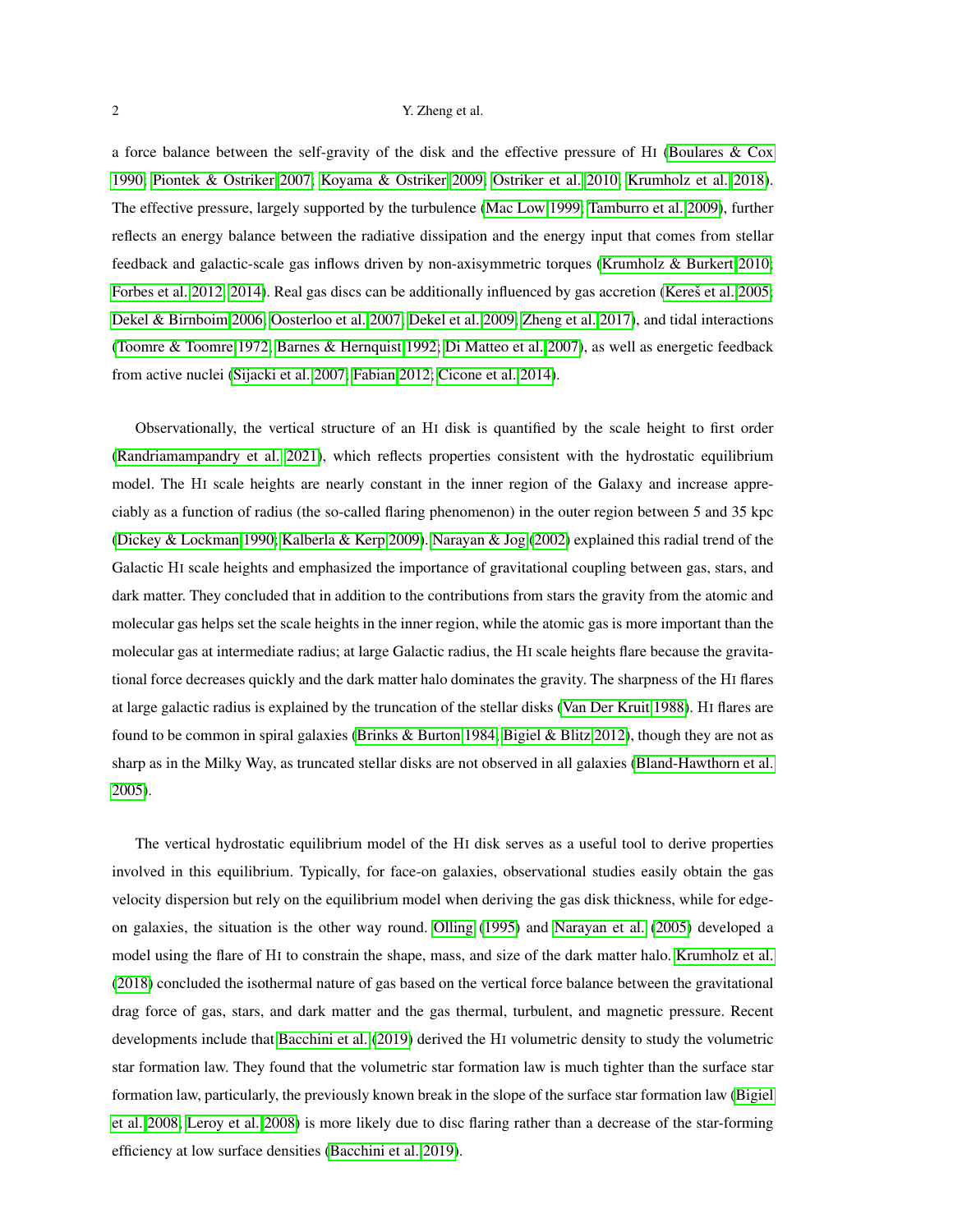<span id="page-1-0"></span>a force balance between the self-gravity of the disk and the effective pressure of HI [\(Boulares & Cox](#page-17-0) [1990;](#page-17-0) [Piontek & Ostriker 2007;](#page-18-0) [Koyama & Ostriker 2009;](#page-18-1) [Ostriker et al. 2010;](#page-18-2) [Krumholz et al. 2018\)](#page-18-3). The effective pressure, largely supported by the turbulence [\(Mac Low 1999;](#page-18-4) [Tamburro et al. 2009\)](#page-19-0), further reflects an energy balance between the radiative dissipation and the energy input that comes from stellar feedback and galactic-scale gas inflows driven by non-axisymmetric torques [\(Krumholz & Burkert 2010;](#page-18-5) [Forbes et al. 2012,](#page-17-1) [2014\)](#page-17-2). Real gas discs can be additionally influenced by gas accretion (Kereš et al. 2005; [Dekel & Birnboim 2006;](#page-17-4) [Oosterloo et al. 2007;](#page-18-6) [Dekel et al. 2009;](#page-17-5) [Zheng et al. 2017\)](#page-19-1), and tidal interactions [\(Toomre & Toomre 1972;](#page-19-2) [Barnes & Hernquist 1992;](#page-16-0) [Di Matteo et al. 2007\)](#page-17-6), as well as energetic feedback from active nuclei [\(Sijacki et al. 2007;](#page-19-3) [Fabian 2012;](#page-17-7) [Cicone et al. 2014\)](#page-17-8).

Observationally, the vertical structure of an HI disk is quantified by the scale height to first order [\(Randriamampandry et al. 2021\)](#page-18-7), which reflects properties consistent with the hydrostatic equilibrium model. The HI scale heights are nearly constant in the inner region of the Galaxy and increase appreciably as a function of radius (the so-called flaring phenomenon) in the outer region between 5 and 35 kpc [\(Dickey & Lockman 1990;](#page-17-9) [Kalberla & Kerp 2009\)](#page-17-10). [Narayan & Jog](#page-18-8) [\(2002\)](#page-18-8) explained this radial trend of the Galactic HI scale heights and emphasized the importance of gravitational coupling between gas, stars, and dark matter. They concluded that in addition to the contributions from stars the gravity from the atomic and molecular gas helps set the scale heights in the inner region, while the atomic gas is more important than the molecular gas at intermediate radius; at large Galactic radius, the HI scale heights flare because the gravitational force decreases quickly and the dark matter halo dominates the gravity. The sharpness of the HI flares at large galactic radius is explained by the truncation of the stellar disks [\(Van Der Kruit 1988\)](#page-19-4). HI flares are found to be common in spiral galaxies [\(Brinks & Burton 1984;](#page-17-11) [Bigiel & Blitz 2012\)](#page-16-1), though they are not as sharp as in the Milky Way, as truncated stellar disks are not observed in all galaxies [\(Bland-Hawthorn et al.](#page-16-2) [2005\)](#page-16-2).

The vertical hydrostatic equilibrium model of the HI disk serves as a useful tool to derive properties involved in this equilibrium. Typically, for face-on galaxies, observational studies easily obtain the gas velocity dispersion but rely on the equilibrium model when deriving the gas disk thickness, while for edgeon galaxies, the situation is the other way round. [Olling](#page-18-9) [\(1995\)](#page-18-9) and [Narayan et al.](#page-18-10) [\(2005\)](#page-18-10) developed a model using the flare of HI to constrain the shape, mass, and size of the dark matter halo. [Krumholz et al.](#page-18-11) [\(2018\)](#page-18-11) concluded the isothermal nature of gas based on the vertical force balance between the gravitational drag force of gas, stars, and dark matter and the gas thermal, turbulent, and magnetic pressure. Recent developments include that [Bacchini et al.](#page-16-3) [\(2019\)](#page-16-3) derived the HI volumetric density to study the volumetric star formation law. They found that the volumetric star formation law is much tighter than the surface star formation law, particularly, the previously known break in the slope of the surface star formation law [\(Bigiel](#page-16-4) [et al. 2008;](#page-16-4) [Leroy et al. 2008\)](#page-18-12) is more likely due to disc flaring rather than a decrease of the star-forming efficiency at low surface densities [\(Bacchini et al. 2019\)](#page-16-3).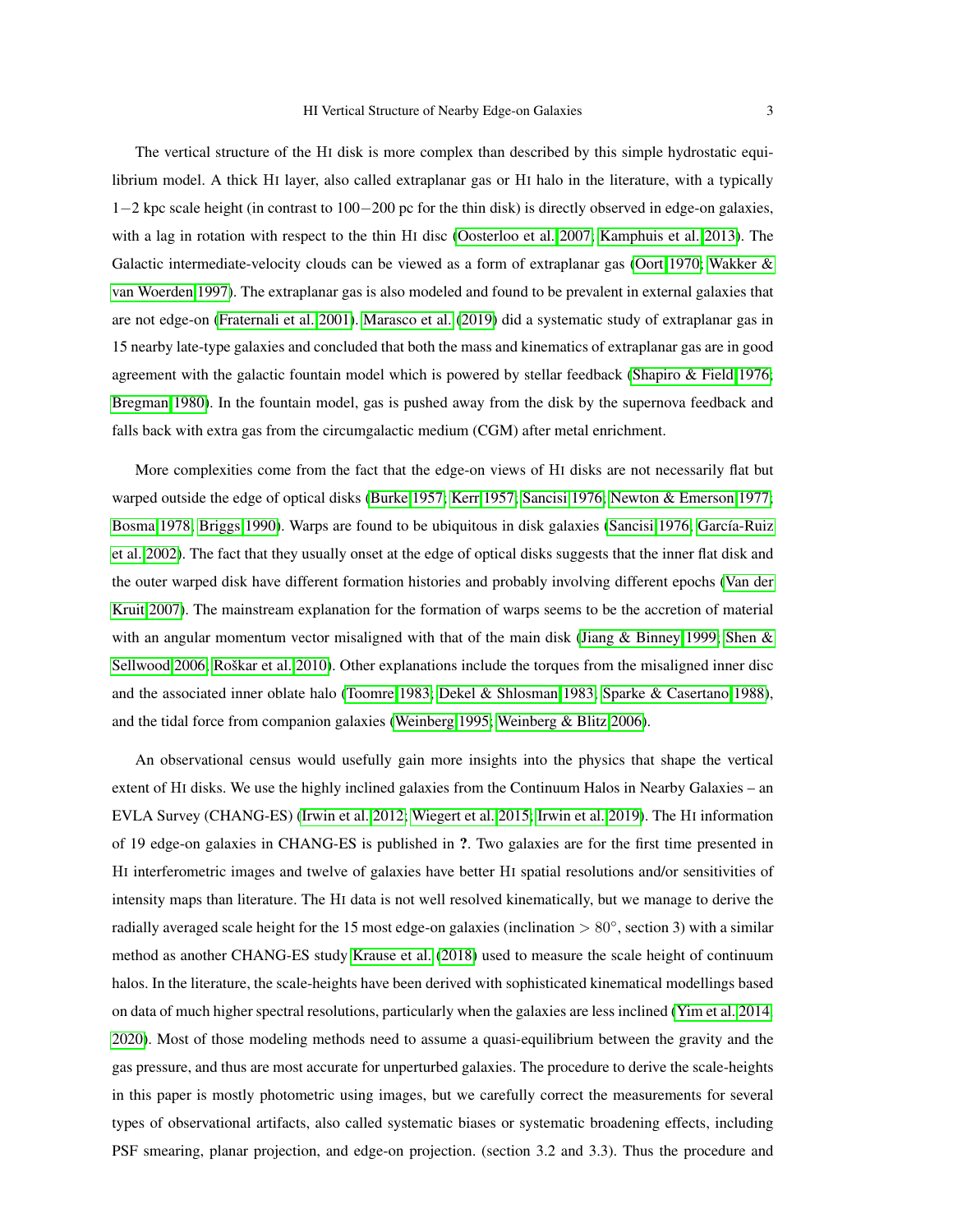<span id="page-2-0"></span>The vertical structure of the HI disk is more complex than described by this simple hydrostatic equilibrium model. A thick HI layer, also called extraplanar gas or HI halo in the literature, with a typically 1−2 kpc scale height (in contrast to 100−200 pc for the thin disk) is directly observed in edge-on galaxies, with a lag in rotation with respect to the thin HI disc [\(Oosterloo et al. 2007;](#page-18-13) [Kamphuis et al. 2013\)](#page-17-12). The Galactic intermediate-velocity clouds can be viewed as a form of extraplanar gas [\(Oort 1970;](#page-18-14) [Wakker &](#page-19-5) [van Woerden 1997\)](#page-19-5). The extraplanar gas is also modeled and found to be prevalent in external galaxies that are not edge-on [\(Fraternali et al. 2001\)](#page-17-13). [Marasco et al.](#page-18-15) [\(2019\)](#page-18-15) did a systematic study of extraplanar gas in 15 nearby late-type galaxies and concluded that both the mass and kinematics of extraplanar gas are in good agreement with the galactic fountain model which is powered by stellar feedback [\(Shapiro & Field 1976;](#page-19-6) [Bregman 1980\)](#page-17-14). In the fountain model, gas is pushed away from the disk by the supernova feedback and falls back with extra gas from the circumgalactic medium (CGM) after metal enrichment.

More complexities come from the fact that the edge-on views of HI disks are not necessarily flat but warped outside the edge of optical disks [\(Burke 1957;](#page-17-15) [Kerr 1957;](#page-17-16) [Sancisi 1976;](#page-19-7) [Newton & Emerson 1977;](#page-18-16) [Bosma 1978;](#page-16-5) [Briggs 1990\)](#page-17-17). Warps are found to be ubiquitous in disk galaxies [\(Sancisi 1976;](#page-19-7) García-Ruiz [et al. 2002\)](#page-17-18). The fact that they usually onset at the edge of optical disks suggests that the inner flat disk and the outer warped disk have different formation histories and probably involving different epochs [\(Van der](#page-19-8) [Kruit 2007\)](#page-19-8). The mainstream explanation for the formation of warps seems to be the accretion of material with an angular momentum vector misaligned with that of the main disk [\(Jiang & Binney 1999;](#page-17-19) [Shen &](#page-19-9) [Sellwood 2006;](#page-19-9) Roškar et al. 2010). Other explanations include the torques from the misaligned inner disc and the associated inner oblate halo [\(Toomre 1983;](#page-19-10) [Dekel & Shlosman 1983;](#page-17-20) [Sparke & Casertano 1988\)](#page-19-11), and the tidal force from companion galaxies [\(Weinberg 1995;](#page-19-12) [Weinberg & Blitz 2006\)](#page-19-13).

An observational census would usefully gain more insights into the physics that shape the vertical extent of HI disks. We use the highly inclined galaxies from the Continuum Halos in Nearby Galaxies – an EVLA Survey (CHANG-ES) [\(Irwin et al. 2012;](#page-17-21) [Wiegert et al. 2015;](#page-19-14) [Irwin et al. 2019\)](#page-17-22). The HI information of 19 edge-on galaxies in CHANG-ES is published in ?. Two galaxies are for the first time presented in HI interferometric images and twelve of galaxies have better HI spatial resolutions and/or sensitivities of intensity maps than literature. The HI data is not well resolved kinematically, but we manage to derive the radially averaged scale height for the 15 most edge-on galaxies (inclination > 80°, section 3) with a similar method as another CHANG-ES study [Krause et al.](#page-18-18) [\(2018\)](#page-18-18) used to measure the scale height of continuum halos. In the literature, the scale-heights have been derived with sophisticated kinematical modellings based on data of much higher spectral resolutions, particularly when the galaxies are less inclined [\(Yim et al. 2014,](#page-19-15) [2020\)](#page-19-16). Most of those modeling methods need to assume a quasi-equilibrium between the gravity and the gas pressure, and thus are most accurate for unperturbed galaxies. The procedure to derive the scale-heights in this paper is mostly photometric using images, but we carefully correct the measurements for several types of observational artifacts, also called systematic biases or systematic broadening effects, including PSF smearing, planar projection, and edge-on projection. (section 3.2 and 3.3). Thus the procedure and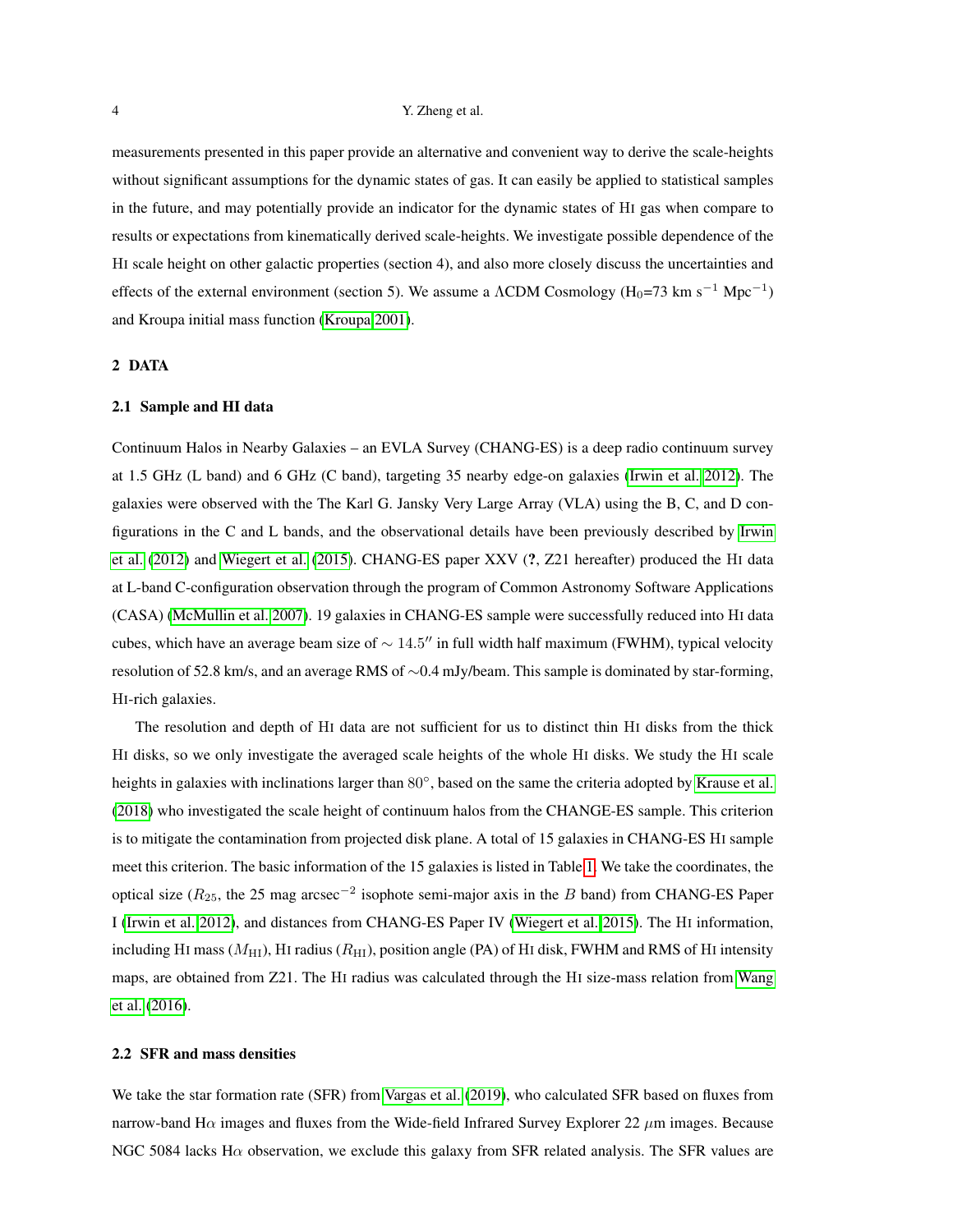<span id="page-3-0"></span>measurements presented in this paper provide an alternative and convenient way to derive the scale-heights without significant assumptions for the dynamic states of gas. It can easily be applied to statistical samples in the future, and may potentially provide an indicator for the dynamic states of HI gas when compare to results or expectations from kinematically derived scale-heights. We investigate possible dependence of the HI scale height on other galactic properties (section 4), and also more closely discuss the uncertainties and effects of the external environment (section 5). We assume a  $\Lambda$ CDM Cosmology (H<sub>0</sub>=73 km s<sup>-1</sup> Mpc<sup>-1</sup>) and Kroupa initial mass function [\(Kroupa 2001\)](#page-18-19).

## 2 DATA

#### 2.1 Sample and HI data

Continuum Halos in Nearby Galaxies – an EVLA Survey (CHANG-ES) is a deep radio continuum survey at 1.5 GHz (L band) and 6 GHz (C band), targeting 35 nearby edge-on galaxies [\(Irwin et al. 2012\)](#page-17-21). The galaxies were observed with the The Karl G. Jansky Very Large Array (VLA) using the B, C, and D configurations in the C and L bands, and the observational details have been previously described by [Irwin](#page-17-21) [et al.](#page-17-21) [\(2012\)](#page-17-21) and [Wiegert et al.](#page-19-14) [\(2015\)](#page-19-14). CHANG-ES paper XXV (?, Z21 hereafter) produced the HI data at L-band C-configuration observation through the program of Common Astronomy Software Applications (CASA) [\(McMullin et al. 2007\)](#page-18-20). 19 galaxies in CHANG-ES sample were successfully reduced into HI data cubes, which have an average beam size of  $\sim 14.5$ " in full width half maximum (FWHM), typical velocity resolution of 52.8 km/s, and an average RMS of ∼0.4 mJy/beam. This sample is dominated by star-forming, HI-rich galaxies.

The resolution and depth of HI data are not sufficient for us to distinct thin HI disks from the thick HI disks, so we only investigate the averaged scale heights of the whole HI disks. We study the HI scale heights in galaxies with inclinations larger than 80°, based on the same the criteria adopted by [Krause et al.](#page-18-18) [\(2018\)](#page-18-18) who investigated the scale height of continuum halos from the CHANGE-ES sample. This criterion is to mitigate the contamination from projected disk plane. A total of 15 galaxies in CHANG-ES HI sample meet this criterion. The basic information of the 15 galaxies is listed in Table [1.](#page-4-0) We take the coordinates, the optical size ( $R_{25}$ , the 25 mag arcsec<sup>-2</sup> isophote semi-major axis in the B band) from CHANG-ES Paper I [\(Irwin et al. 2012\)](#page-17-21), and distances from CHANG-ES Paper IV [\(Wiegert et al. 2015\)](#page-19-14). The HI information, including HI mass ( $M_{\text{HI}}$ ), HI radius ( $R_{\text{HI}}$ ), position angle (PA) of HI disk, FWHM and RMS of HI intensity maps, are obtained from Z21. The HI radius was calculated through the HI size-mass relation from [Wang](#page-19-17) [et al.](#page-19-17) [\(2016\)](#page-19-17).

#### 2.2 SFR and mass densities

We take the star formation rate (SFR) from [Vargas et al.](#page-19-18) [\(2019\)](#page-19-18), who calculated SFR based on fluxes from narrow-band H $\alpha$  images and fluxes from the Wide-field Infrared Survey Explorer 22  $\mu$ m images. Because NGC 5084 lacks Hα observation, we exclude this galaxy from SFR related analysis. The SFR values are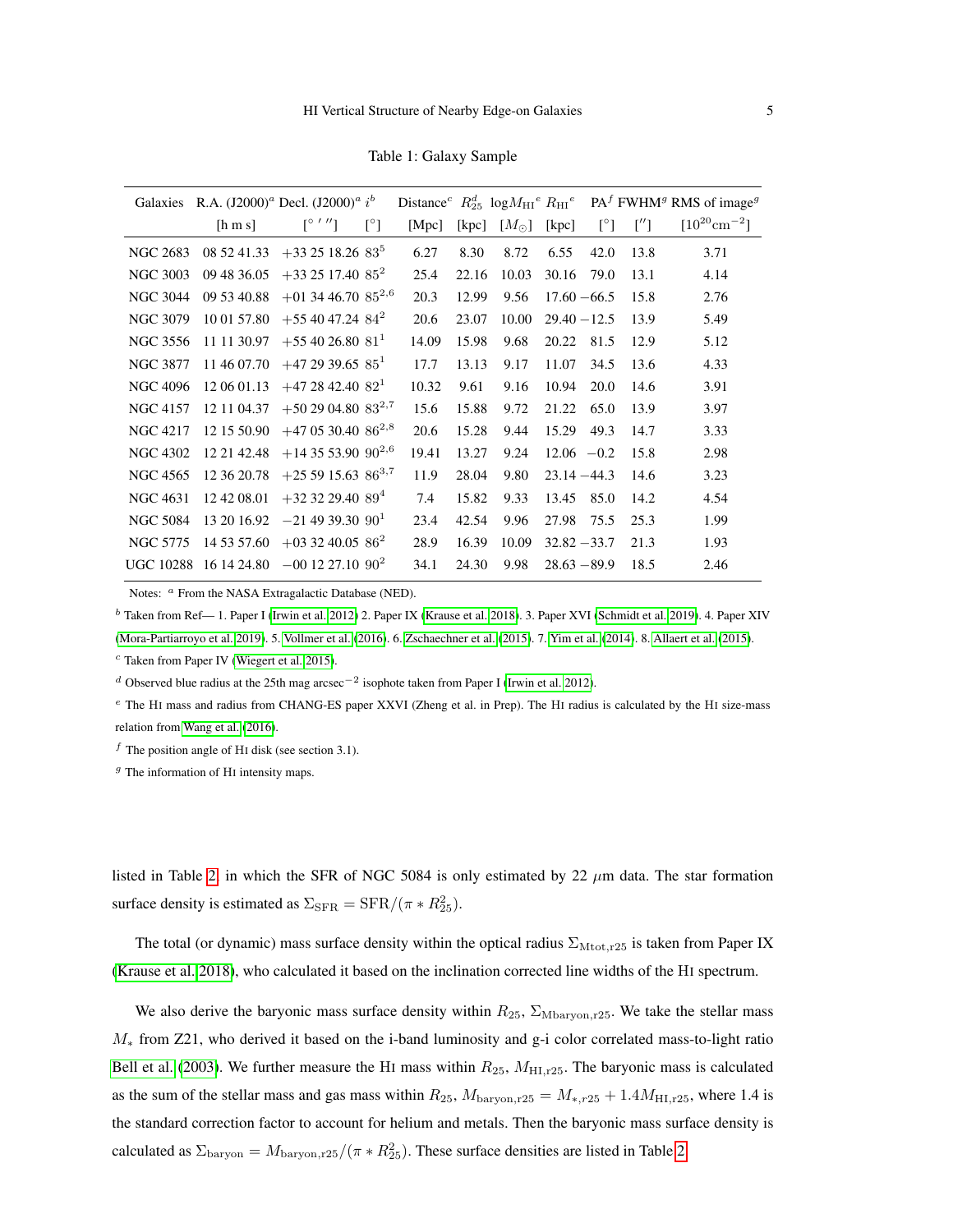Table 1: Galaxy Sample

<span id="page-4-1"></span><span id="page-4-0"></span>

|                 |                  | Galaxies R.A. $(I2000)^{a}$ Decl. $(I2000)^{a} i^{b}$ |              |       |                |               |                |              |      | Distance <sup>c</sup> $R_{25}^d$ log $M_{\rm HI}^e$ $R_{\rm HI}^e$ $PA^f$ FWHM <sup>g</sup> RMS of image <sup>g</sup> |
|-----------------|------------------|-------------------------------------------------------|--------------|-------|----------------|---------------|----------------|--------------|------|-----------------------------------------------------------------------------------------------------------------------|
|                 | [ <b>h m s</b> ] | $\lceil \circ ''' \rceil$                             | $[^{\circ}]$ | [Mpc] | $[\text{kpc}]$ | $[M_{\odot}]$ | [kpc]          | $[^{\circ}]$ |      | $[10^{20} \text{cm}^{-2}]$                                                                                            |
| <b>NGC 2683</b> | 08 52 41.33      | $+33$ 25 18.26 83 <sup>5</sup>                        |              | 6.27  | 8.30           | 8.72          | 6.55           | 42.0         | 13.8 | 3.71                                                                                                                  |
| <b>NGC 3003</b> | 09 48 36.05      | $+33$ 25 17.40 $85^2$                                 |              | 25.4  | 22.16          | 10.03         | 30.16          | 79.0         | 13.1 | 4.14                                                                                                                  |
| <b>NGC 3044</b> | 09 53 40.88      | $+01$ 34 46.70 $85^{2,6}$                             |              | 20.3  | 12.99          | 9.56          | $17.60 - 66.5$ |              | 15.8 | 2.76                                                                                                                  |
| <b>NGC 3079</b> | 10 01 57.80      | $+554047.2484^2$                                      |              | 20.6  | 23.07          | 10.00         | $29.40 - 12.5$ |              | 13.9 | 5.49                                                                                                                  |
| <b>NGC 3556</b> | 11 11 30.97      | $+554026.8081$                                        |              | 14.09 | 15.98          | 9.68          | 20.22          | 81.5         | 12.9 | 5.12                                                                                                                  |
| <b>NGC 3877</b> | 11 46 07.70      | $+472939.6585$                                        |              | 17.7  | 13.13          | 9.17          | 11.07          | 34.5         | 13.6 | 4.33                                                                                                                  |
| <b>NGC 4096</b> | 12 06 01.13      | $+472842.40821$                                       |              | 10.32 | 9.61           | 9.16          | 10.94          | 20.0         | 14.6 | 3.91                                                                                                                  |
| <b>NGC 4157</b> | 12 11 04.37      | $+502904.8083^{2,7}$                                  |              | 15.6  | 15.88          | 9.72          | 21.22          | 65.0         | 13.9 | 3.97                                                                                                                  |
| <b>NGC 4217</b> | 12 15 50.90      | $+47$ 05 30.40 86 <sup>2,8</sup>                      |              | 20.6  | 15.28          | 9.44          | 15.29          | 49.3         | 14.7 | 3.33                                                                                                                  |
| <b>NGC 4302</b> | 12 21 42.48      | $+14$ 35 53.90 90 <sup>2,6</sup>                      |              | 19.41 | 13.27          | 9.24          | $12.06 -0.2$   |              | 15.8 | 2.98                                                                                                                  |
| NGC 4565        | 12 36 20.78      | $+255915.6386^{3,7}$                                  |              | 11.9  | 28.04          | 9.80          | $23.14 - 44.3$ |              | 14.6 | 3.23                                                                                                                  |
| <b>NGC 4631</b> | 12 42 08:01      | $+32$ 32 29.40 89 <sup>4</sup>                        |              | 7.4   | 15.82          | 9.33          | 13.45          | 85.0         | 14.2 | 4.54                                                                                                                  |
| <b>NGC 5084</b> | 13 20 16.92      | $-21$ 49 39.30 90 <sup>1</sup>                        |              | 23.4  | 42.54          | 9.96          | 27.98          | 75.5         | 25.3 | 1.99                                                                                                                  |
| <b>NGC 5775</b> | 14 53 57.60      | $+033240.0586^2$                                      |              | 28.9  | 16.39          | 10.09         | $32.82 - 33.7$ |              | 21.3 | 1.93                                                                                                                  |
|                 |                  | UGC 10288 16 14 24.80 $-00$ 12 27.10 $90^2$           |              | 34.1  | 24.30          | 9.98          | $28.63 - 89.9$ |              | 18.5 | 2.46                                                                                                                  |

Notes: <sup>*a*</sup> From the NASA Extragalactic Database (NED).

<sup>b</sup> Taken from Ref— 1. Paper I [\(Irwin et al. 2012\)](#page-17-21) 2. Paper IX [\(Krause et al. 2018\)](#page-18-18). 3. Paper XVI [\(Schmidt et al. 2019\)](#page-19-19). 4. Paper XIV

[\(Mora-Partiarroyo et al. 2019\)](#page-18-21). 5. [Vollmer et al.](#page-19-20) [\(2016\)](#page-19-20). 6. [Zschaechner et al.](#page-19-21) [\(2015\)](#page-19-21). 7. [Yim et al.](#page-19-15) [\(2014\)](#page-19-15). 8. [Allaert et al.](#page-16-6) [\(2015\)](#page-16-6).

 $c$  Taken from Paper IV [\(Wiegert et al. 2015\)](#page-19-14).

d Observed blue radius at the 25th mag arcsec<sup>-2</sup> isophote taken from Paper I [\(Irwin et al. 2012\)](#page-17-21).

<sup>e</sup> The H<sup>I</sup> mass and radius from CHANG-ES paper XXVI (Zheng et al. in Prep). The H<sup>I</sup> radius is calculated by the H<sup>I</sup> size-mass relation from [Wang et al.](#page-19-17) [\(2016\)](#page-19-17).

 $f$  The position angle of HI disk (see section 3.1).

 $g$  The information of HI intensity maps.

listed in Table [2,](#page-12-0) in which the SFR of NGC 5084 is only estimated by 22  $\mu$ m data. The star formation surface density is estimated as  $\Sigma_{\rm SFR} = {\rm SFR}/(\pi * R_{25}^2)$ .

The total (or dynamic) mass surface density within the optical radius  $\Sigma_{\text{Mtot},r25}$  is taken from Paper IX [\(Krause et al. 2018\)](#page-18-18), who calculated it based on the inclination corrected line widths of the HI spectrum.

We also derive the baryonic mass surface density within  $R_{25}$ ,  $\Sigma_{\text{Mbaryon,r25}}$ . We take the stellar mass  $M_*$  from Z21, who derived it based on the i-band luminosity and g-i color correlated mass-to-light ratio [Bell et al.](#page-16-7) [\(2003\)](#page-16-7). We further measure the HI mass within  $R_{25}$ ,  $M_{\text{HI},25}$ . The baryonic mass is calculated as the sum of the stellar mass and gas mass within  $R_{25}$ ,  $M_{\text{baryon},r25} = M_{*,r25} + 1.4M_{\text{HI},r25}$ , where 1.4 is the standard correction factor to account for helium and metals. Then the baryonic mass surface density is calculated as  $\Sigma_{\rm baryon} = M_{\rm baryon, r25}/(\pi * R_{25}^2)$ . These surface densities are listed in Table [2.](#page-12-0)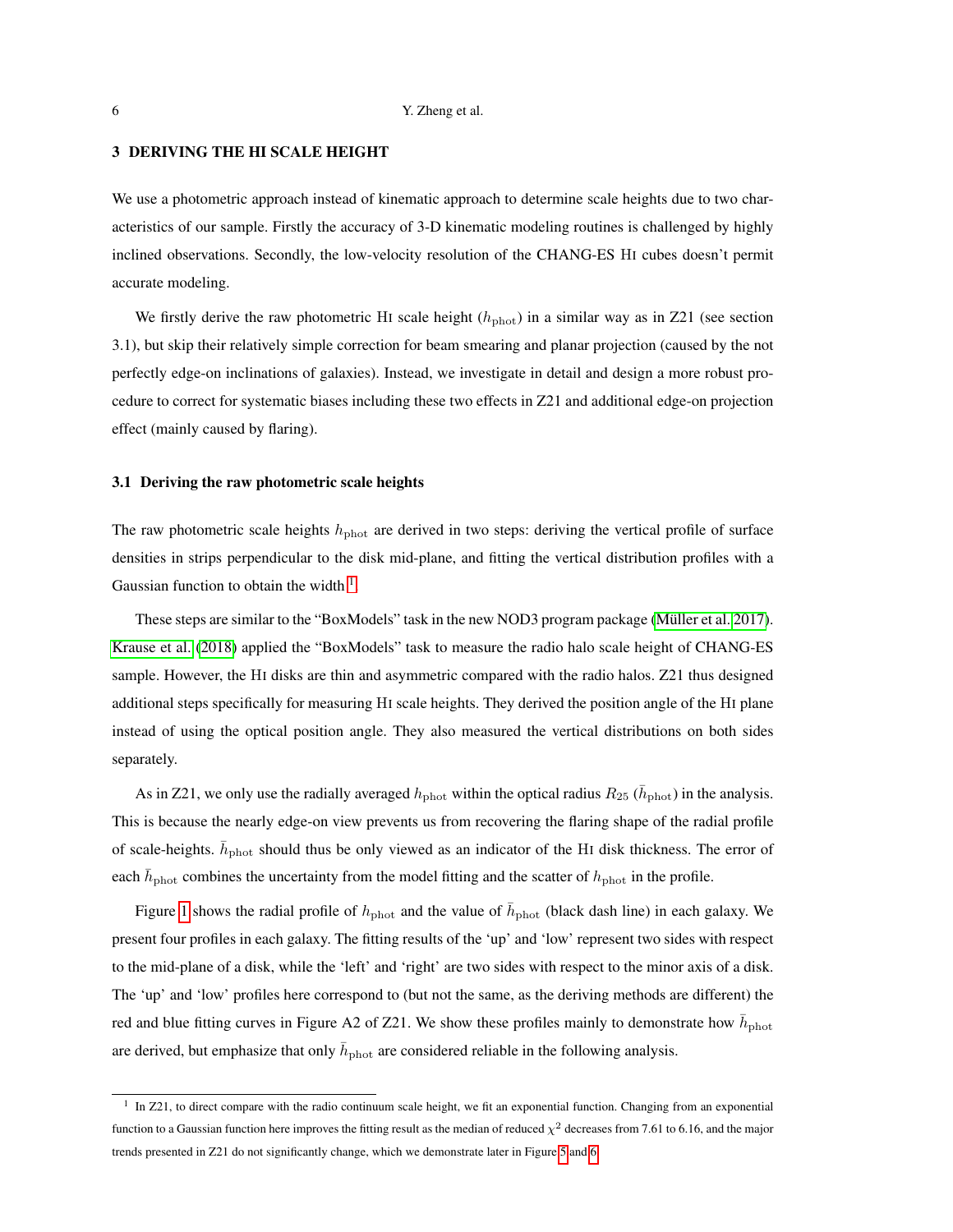## <span id="page-5-1"></span>3 DERIVING THE HI SCALE HEIGHT

We use a photometric approach instead of kinematic approach to determine scale heights due to two characteristics of our sample. Firstly the accuracy of 3-D kinematic modeling routines is challenged by highly inclined observations. Secondly, the low-velocity resolution of the CHANG-ES HI cubes doesn't permit accurate modeling.

We firstly derive the raw photometric HI scale height  $(h_{\text{phot}})$  in a similar way as in Z21 (see section 3.1), but skip their relatively simple correction for beam smearing and planar projection (caused by the not perfectly edge-on inclinations of galaxies). Instead, we investigate in detail and design a more robust procedure to correct for systematic biases including these two effects in Z21 and additional edge-on projection effect (mainly caused by flaring).

#### 3.1 Deriving the raw photometric scale heights

The raw photometric scale heights  $h_{\text{phot}}$  are derived in two steps: deriving the vertical profile of surface densities in strips perpendicular to the disk mid-plane, and fitting the vertical distribution profiles with a Gaussian function to obtain the width  $<sup>1</sup>$  $<sup>1</sup>$  $<sup>1</sup>$ .</sup>

These steps are similar to the "BoxModels" task in the new NOD3 program package (Müller et al. 2017). [Krause et al.](#page-18-18) [\(2018\)](#page-18-18) applied the "BoxModels" task to measure the radio halo scale height of CHANG-ES sample. However, the HI disks are thin and asymmetric compared with the radio halos. Z21 thus designed additional steps specifically for measuring HI scale heights. They derived the position angle of the HI plane instead of using the optical position angle. They also measured the vertical distributions on both sides separately.

As in Z21, we only use the radially averaged  $h_{\text{phot}}$  within the optical radius  $R_{25}$  ( $\bar{h}_{\text{phot}}$ ) in the analysis. This is because the nearly edge-on view prevents us from recovering the flaring shape of the radial profile of scale-heights.  $\bar{h}_{\text{phot}}$  should thus be only viewed as an indicator of the HI disk thickness. The error of each  $\bar{h}_{\text{phot}}$  combines the uncertainty from the model fitting and the scatter of  $h_{\text{phot}}$  in the profile.

Figure [1](#page-6-0) shows the radial profile of  $h_{\text{phot}}$  and the value of  $\bar{h}_{\text{phot}}$  (black dash line) in each galaxy. We present four profiles in each galaxy. The fitting results of the 'up' and 'low' represent two sides with respect to the mid-plane of a disk, while the 'left' and 'right' are two sides with respect to the minor axis of a disk. The 'up' and 'low' profiles here correspond to (but not the same, as the deriving methods are different) the red and blue fitting curves in Figure A2 of Z21. We show these profiles mainly to demonstrate how  $\bar{h}_{\text{phot}}$ are derived, but emphasize that only  $\bar{h}_{\text{phot}}$  are considered reliable in the following analysis.

<span id="page-5-0"></span><sup>&</sup>lt;sup>1</sup> In Z21, to direct compare with the radio continuum scale height, we fit an exponential function. Changing from an exponential function to a Gaussian function here improves the fitting result as the median of reduced  $\chi^2$  decreases from 7.61 to 6.16, and the major trends presented in Z21 do not significantly change, which we demonstrate later in Figure [5](#page-20-0) and [6.](#page-21-0)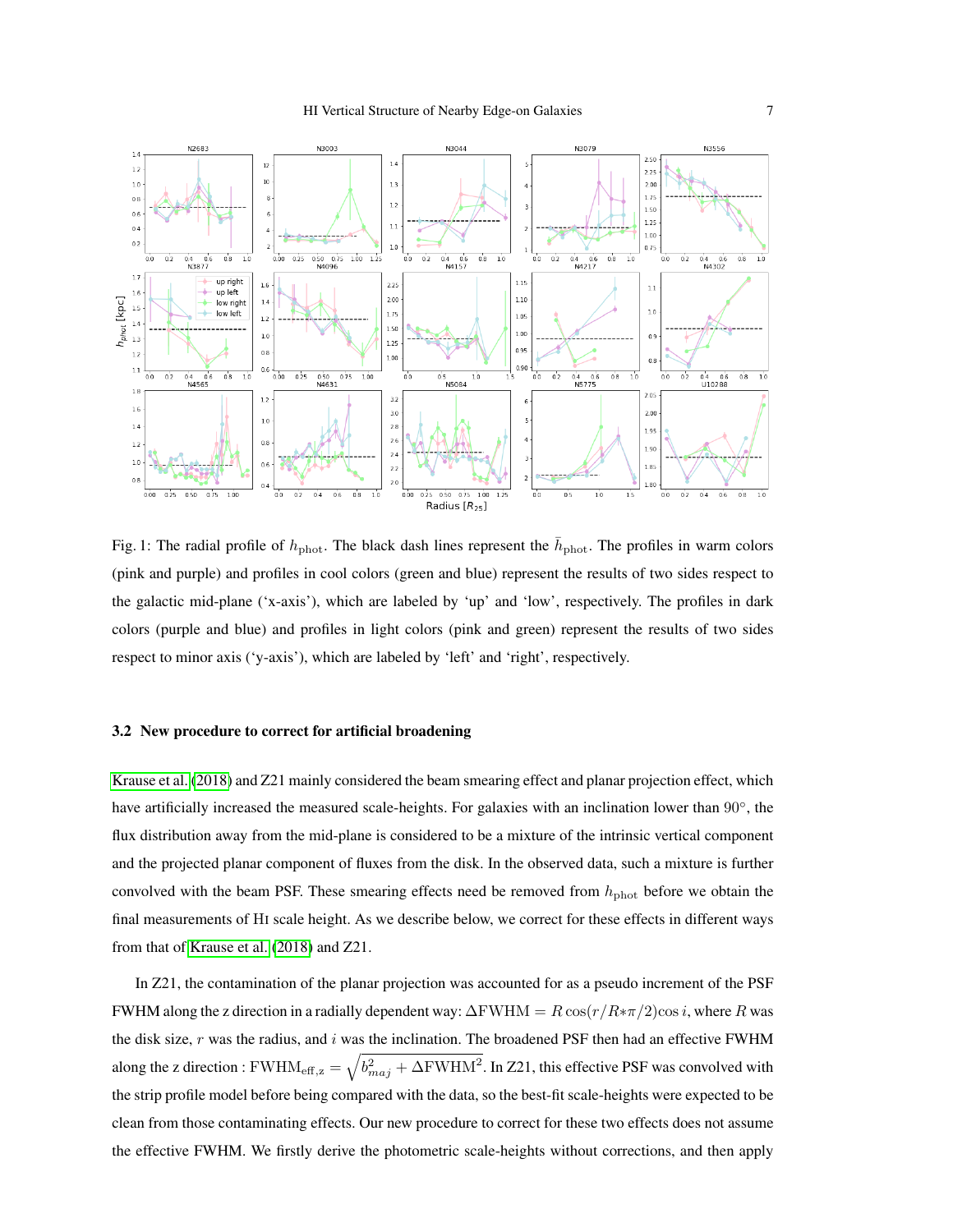<span id="page-6-1"></span><span id="page-6-0"></span>

Fig. 1: The radial profile of  $h_{\text{phot}}$ . The black dash lines represent the  $\bar{h}_{\text{phot}}$ . The profiles in warm colors (pink and purple) and profiles in cool colors (green and blue) represent the results of two sides respect to the galactic mid-plane ('x-axis'), which are labeled by 'up' and 'low', respectively. The profiles in dark colors (purple and blue) and profiles in light colors (pink and green) represent the results of two sides respect to minor axis ('y-axis'), which are labeled by 'left' and 'right', respectively.

### 3.2 New procedure to correct for artificial broadening

[Krause et al.](#page-18-18) [\(2018\)](#page-18-18) and Z21 mainly considered the beam smearing effect and planar projection effect, which have artificially increased the measured scale-heights. For galaxies with an inclination lower than 90°, the flux distribution away from the mid-plane is considered to be a mixture of the intrinsic vertical component and the projected planar component of fluxes from the disk. In the observed data, such a mixture is further convolved with the beam PSF. These smearing effects need be removed from  $h_{\text{phot}}$  before we obtain the final measurements of HI scale height. As we describe below, we correct for these effects in different ways from that of [Krause et al.](#page-18-18) [\(2018\)](#page-18-18) and Z21.

In Z21, the contamination of the planar projection was accounted for as a pseudo increment of the PSF FWHM along the z direction in a radially dependent way:  $\Delta$ FWHM =  $R \cos(r/R \ast \pi/2) \cos i$ , where R was the disk size,  $r$  was the radius, and  $i$  was the inclination. The broadened PSF then had an effective FWHM along the z direction : FWHM $_{\rm eff,z}=\sqrt{b_{maj}^2+\Delta{\rm FWHM}^2}$ . In Z21, this effective PSF was convolved with the strip profile model before being compared with the data, so the best-fit scale-heights were expected to be clean from those contaminating effects. Our new procedure to correct for these two effects does not assume the effective FWHM. We firstly derive the photometric scale-heights without corrections, and then apply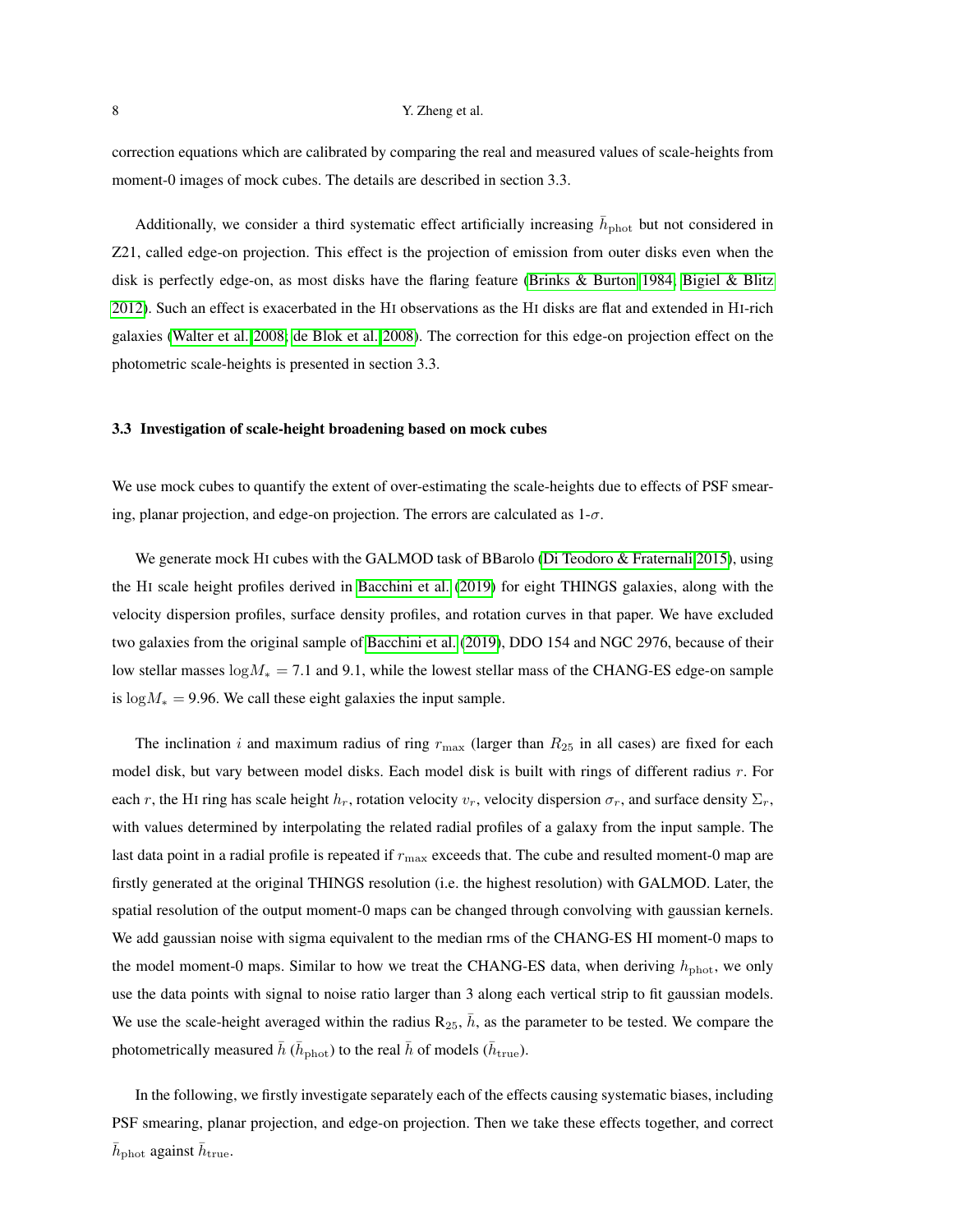<span id="page-7-0"></span>correction equations which are calibrated by comparing the real and measured values of scale-heights from moment-0 images of mock cubes. The details are described in section 3.3.

Additionally, we consider a third systematic effect artificially increasing  $\bar{h}_{\text{phot}}$  but not considered in Z21, called edge-on projection. This effect is the projection of emission from outer disks even when the disk is perfectly edge-on, as most disks have the flaring feature [\(Brinks & Burton 1984;](#page-17-11) [Bigiel & Blitz](#page-16-1) [2012\)](#page-16-1). Such an effect is exacerbated in the HI observations as the HI disks are flat and extended in HI-rich galaxies [\(Walter et al. 2008;](#page-19-22) [de Blok et al. 2008\)](#page-17-23). The correction for this edge-on projection effect on the photometric scale-heights is presented in section 3.3.

#### 3.3 Investigation of scale-height broadening based on mock cubes

We use mock cubes to quantify the extent of over-estimating the scale-heights due to effects of PSF smearing, planar projection, and edge-on projection. The errors are calculated as  $1-\sigma$ .

We generate mock HI cubes with the GALMOD task of BBarolo [\(Di Teodoro & Fraternali 2015\)](#page-17-24), using the HI scale height profiles derived in [Bacchini et al.](#page-16-3) [\(2019\)](#page-16-3) for eight THINGS galaxies, along with the velocity dispersion profiles, surface density profiles, and rotation curves in that paper. We have excluded two galaxies from the original sample of [Bacchini et al.](#page-16-3) [\(2019\)](#page-16-3), DDO 154 and NGC 2976, because of their low stellar masses  $log M<sub>*</sub> = 7.1$  and 9.1, while the lowest stellar mass of the CHANG-ES edge-on sample is  $log M_* = 9.96$ . We call these eight galaxies the input sample.

The inclination i and maximum radius of ring  $r_{\text{max}}$  (larger than  $R_{25}$  in all cases) are fixed for each model disk, but vary between model disks. Each model disk is built with rings of different radius  $r$ . For each r, the HI ring has scale height  $h_r$ , rotation velocity  $v_r$ , velocity dispersion  $\sigma_r$ , and surface density  $\Sigma_r$ , with values determined by interpolating the related radial profiles of a galaxy from the input sample. The last data point in a radial profile is repeated if  $r_{\text{max}}$  exceeds that. The cube and resulted moment-0 map are firstly generated at the original THINGS resolution (i.e. the highest resolution) with GALMOD. Later, the spatial resolution of the output moment-0 maps can be changed through convolving with gaussian kernels. We add gaussian noise with sigma equivalent to the median rms of the CHANG-ES HI moment-0 maps to the model moment-0 maps. Similar to how we treat the CHANG-ES data, when deriving  $h_{\text{phot}}$ , we only use the data points with signal to noise ratio larger than 3 along each vertical strip to fit gaussian models. We use the scale-height averaged within the radius  $R_{25}$ ,  $\bar{h}$ , as the parameter to be tested. We compare the photometrically measured  $\bar h$  ( $\bar h_{\rm phot}$ ) to the real  $\bar h$  of models ( $\bar h_{\rm true}$ ).

In the following, we firstly investigate separately each of the effects causing systematic biases, including PSF smearing, planar projection, and edge-on projection. Then we take these effects together, and correct  $\bar{h}_\text{phot}$  against  $\bar{h}_\text{true}$ .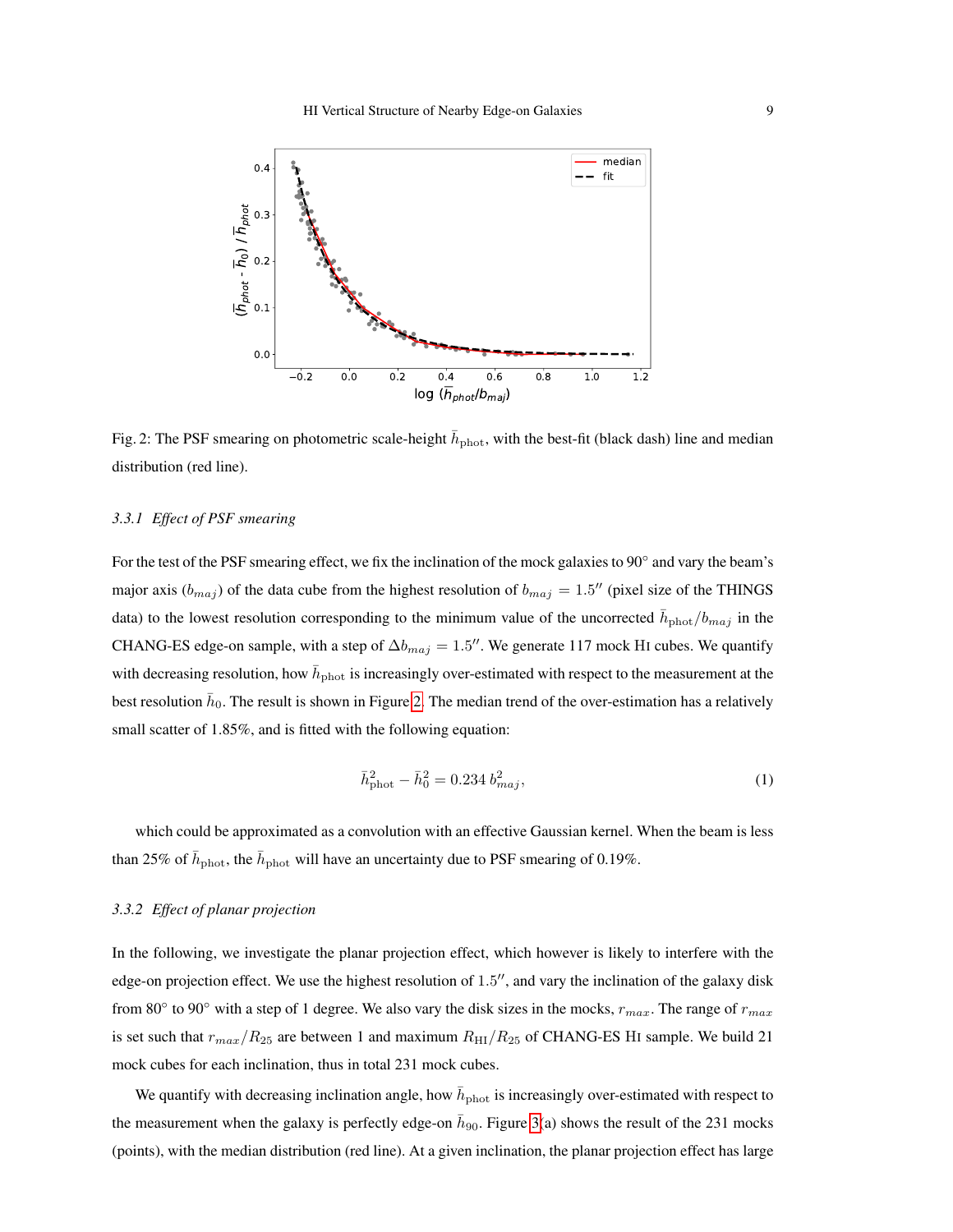<span id="page-8-0"></span>

Fig. 2: The PSF smearing on photometric scale-height  $\bar{h}_{\text{phot}}$ , with the best-fit (black dash) line and median distribution (red line).

#### *3.3.1 Effect of PSF smearing*

For the test of the PSF smearing effect, we fix the inclination of the mock galaxies to 90° and vary the beam's major axis  $(b_{maj})$  of the data cube from the highest resolution of  $b_{maj} = 1.5$ " (pixel size of the THINGS data) to the lowest resolution corresponding to the minimum value of the uncorrected  $\bar{h}_{\text{phot}}/b_{maj}$  in the CHANG-ES edge-on sample, with a step of  $\Delta b_{maj} = 1.5$ ". We generate 117 mock HI cubes. We quantify with decreasing resolution, how  $\bar{h}_{\text{phot}}$  is increasingly over-estimated with respect to the measurement at the best resolution  $\bar{h}_0$ . The result is shown in Figure [2.](#page-8-0) The median trend of the over-estimation has a relatively small scatter of 1.85%, and is fitted with the following equation:

$$
\bar{h}_{\text{phot}}^2 - \bar{h}_0^2 = 0.234 \, b_{maj}^2,\tag{1}
$$

which could be approximated as a convolution with an effective Gaussian kernel. When the beam is less than 25% of  $\bar{h}_{\text{phot}}$ , the  $\bar{h}_{\text{phot}}$  will have an uncertainty due to PSF smearing of 0.19%.

## *3.3.2 Effect of planar projection*

In the following, we investigate the planar projection effect, which however is likely to interfere with the edge-on projection effect. We use the highest resolution of 1.5", and vary the inclination of the galaxy disk from 80 $\degree$  to 90 $\degree$  with a step of 1 degree. We also vary the disk sizes in the mocks,  $r_{max}$ . The range of  $r_{max}$ is set such that  $r_{max}/R_{25}$  are between 1 and maximum  $R_{\text{HI}}/R_{25}$  of CHANG-ES HI sample. We build 21 mock cubes for each inclination, thus in total 231 mock cubes.

We quantify with decreasing inclination angle, how  $\bar{h}_{\text{phot}}$  is increasingly over-estimated with respect to the measurement when the galaxy is perfectly edge-on  $\bar{h}_{90}$ . Figure [3\(](#page-9-0)a) shows the result of the 231 mocks (points), with the median distribution (red line). At a given inclination, the planar projection effect has large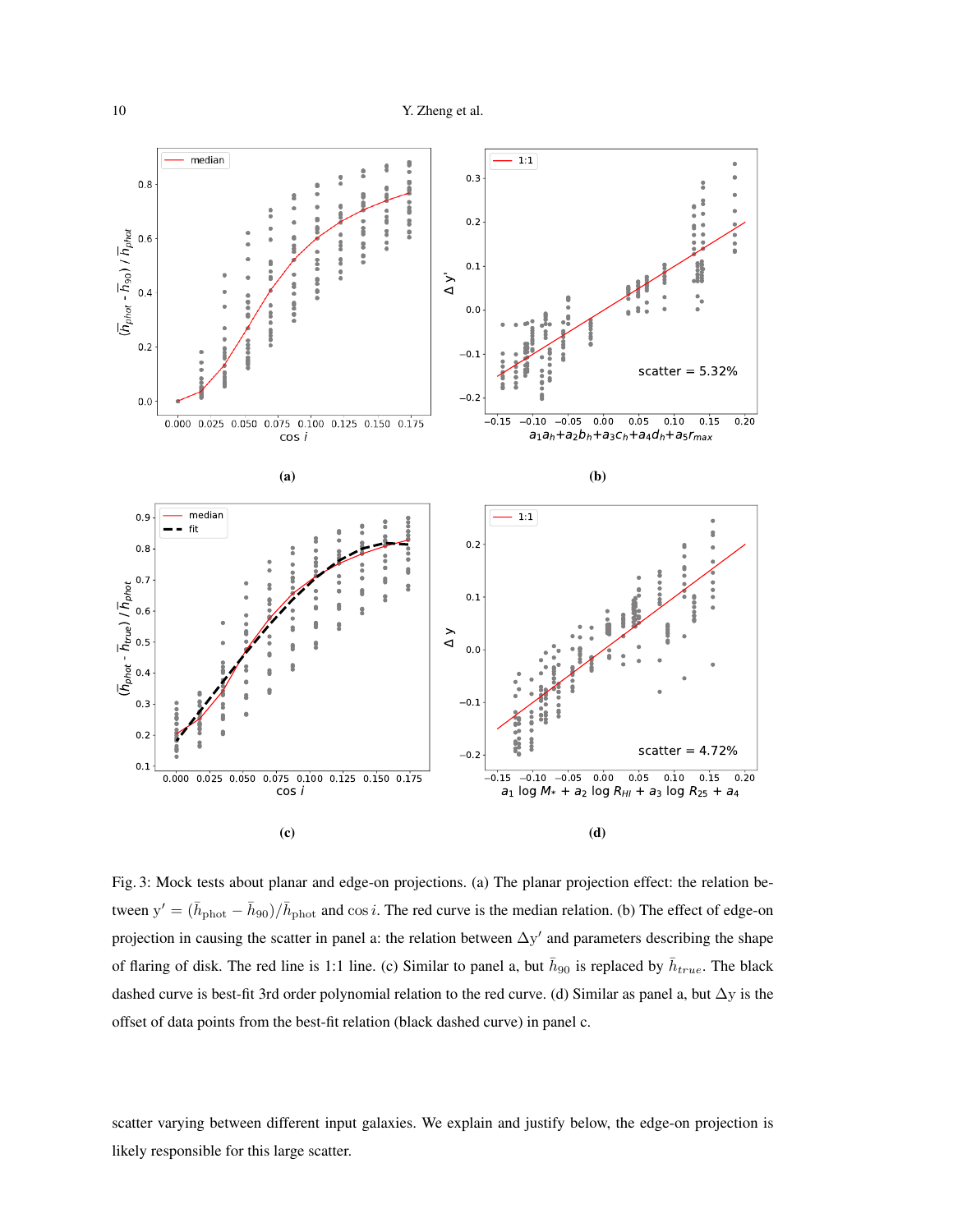<span id="page-9-0"></span>

Fig. 3: Mock tests about planar and edge-on projections. (a) The planar projection effect: the relation between  $y' = (\bar{h}_{\text{phot}} - \bar{h}_{90})/\bar{h}_{\text{phot}}$  and  $\cos i$ . The red curve is the median relation. (b) The effect of edge-on projection in causing the scatter in panel a: the relation between  $\Delta y'$  and parameters describing the shape of flaring of disk. The red line is 1:1 line. (c) Similar to panel a, but  $\bar{h}_{90}$  is replaced by  $\bar{h}_{true}$ . The black dashed curve is best-fit 3rd order polynomial relation to the red curve. (d) Similar as panel a, but  $\Delta y$  is the offset of data points from the best-fit relation (black dashed curve) in panel c.

scatter varying between different input galaxies. We explain and justify below, the edge-on projection is likely responsible for this large scatter.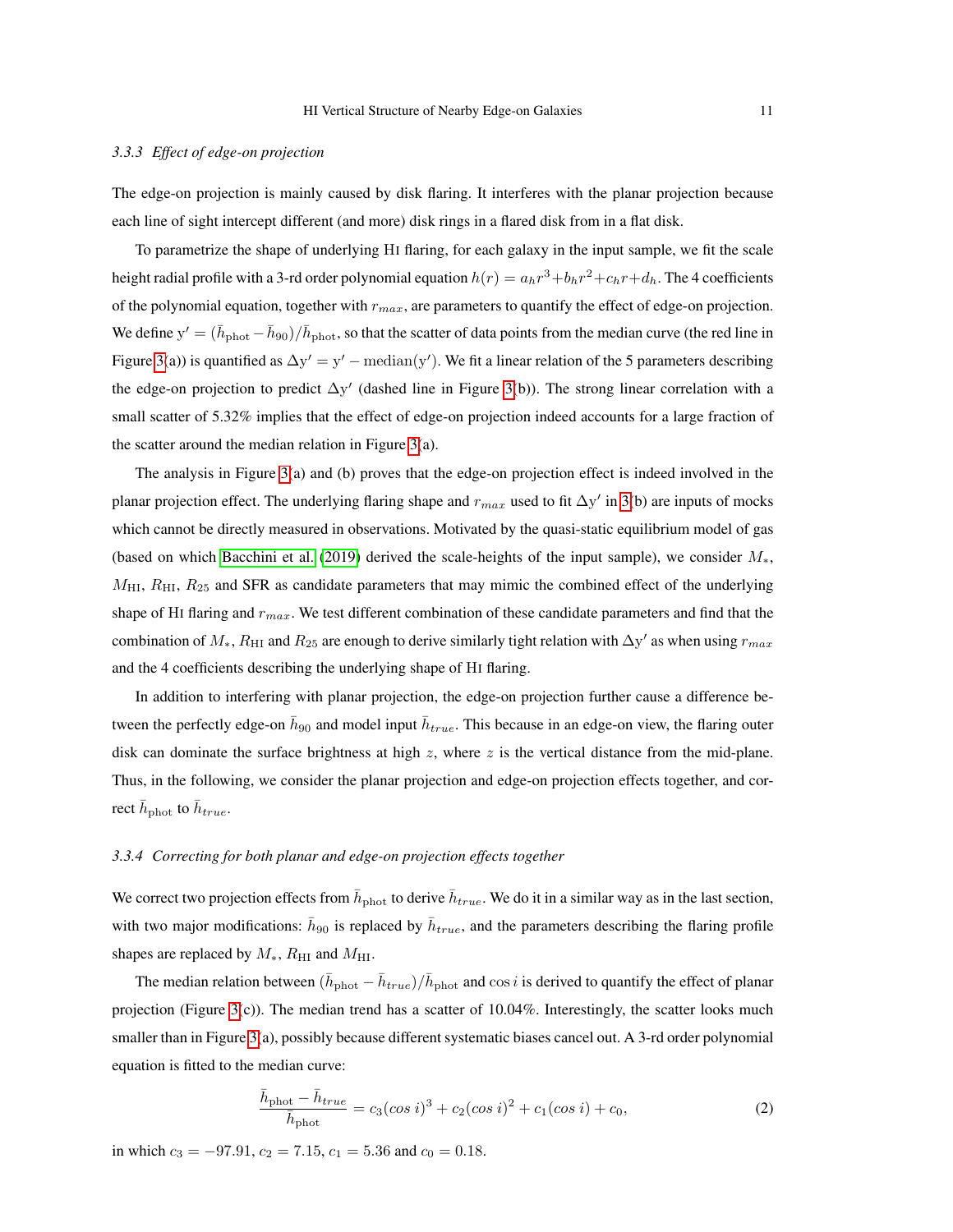#### <span id="page-10-0"></span>*3.3.3 Effect of edge-on projection*

The edge-on projection is mainly caused by disk flaring. It interferes with the planar projection because each line of sight intercept different (and more) disk rings in a flared disk from in a flat disk.

To parametrize the shape of underlying HI flaring, for each galaxy in the input sample, we fit the scale height radial profile with a 3-rd order polynomial equation  $h(r)=a_h r^3+b_h r^2+c_h r+d_h.$  The 4 coefficients of the polynomial equation, together with  $r_{max}$ , are parameters to quantify the effect of edge-on projection. We define  $y' = (\bar{h}_{phot} - \bar{h}_{90})/\bar{h}_{phot}$ , so that the scatter of data points from the median curve (the red line in Figure [3\(](#page-9-0)a)) is quantified as  $\Delta y' = y'$  – median(y'). We fit a linear relation of the 5 parameters describing the edge-on projection to predict  $\Delta y'$  (dashed line in Figure [3\(](#page-9-0)b)). The strong linear correlation with a small scatter of 5.32% implies that the effect of edge-on projection indeed accounts for a large fraction of the scatter around the median relation in Figure [3\(](#page-9-0)a).

The analysis in Figure [3\(](#page-9-0)a) and (b) proves that the edge-on projection effect is indeed involved in the planar projection effect. The underlying flaring shape and  $r_{max}$  used to fit  $\Delta y'$  in [3\(](#page-9-0)b) are inputs of mocks which cannot be directly measured in observations. Motivated by the quasi-static equilibrium model of gas (based on which [Bacchini et al.](#page-16-3) [\(2019\)](#page-16-3) derived the scale-heights of the input sample), we consider M∗,  $M_{\text{HI}}$ ,  $R_{\text{HI}}$ ,  $R_{25}$  and SFR as candidate parameters that may mimic the combined effect of the underlying shape of HI flaring and  $r_{max}$ . We test different combination of these candidate parameters and find that the combination of  $M_*$ ,  $R_{\rm HI}$  and  $R_{25}$  are enough to derive similarly tight relation with  $\Delta y'$  as when using  $r_{max}$ and the 4 coefficients describing the underlying shape of HI flaring.

In addition to interfering with planar projection, the edge-on projection further cause a difference between the perfectly edge-on  $\bar{h}_{90}$  and model input  $\bar{h}_{true}$ . This because in an edge-on view, the flaring outer disk can dominate the surface brightness at high  $z$ , where  $z$  is the vertical distance from the mid-plane. Thus, in the following, we consider the planar projection and edge-on projection effects together, and correct  $\bar{h}_{\text{phot}}$  to  $\bar{h}_{true}$ .

#### *3.3.4 Correcting for both planar and edge-on projection effects together*

We correct two projection effects from  $\bar{h}_{\text{phot}}$  to derive  $\bar{h}_{true}$ . We do it in a similar way as in the last section, with two major modifications:  $\bar{h}_{90}$  is replaced by  $\bar{h}_{true}$ , and the parameters describing the flaring profile shapes are replaced by  $M_*$ ,  $R_{\rm HI}$  and  $M_{\rm HI}$ .

The median relation between  $(\bar{h}_{\text{phot}} - \bar{h}_{true})/\bar{h}_{\text{phot}}$  and  $\cos i$  is derived to quantify the effect of planar projection (Figure [3\(](#page-9-0)c)). The median trend has a scatter of  $10.04\%$ . Interestingly, the scatter looks much smaller than in Figure [3\(](#page-9-0)a), possibly because different systematic biases cancel out. A 3-rd order polynomial equation is fitted to the median curve:

$$
\frac{\bar{h}_{\text{phot}} - \bar{h}_{true}}{\bar{h}_{\text{phot}}} = c_3(\cos i)^3 + c_2(\cos i)^2 + c_1(\cos i) + c_0,\tag{2}
$$

in which  $c_3 = -97.91$ ,  $c_2 = 7.15$ ,  $c_1 = 5.36$  and  $c_0 = 0.18$ .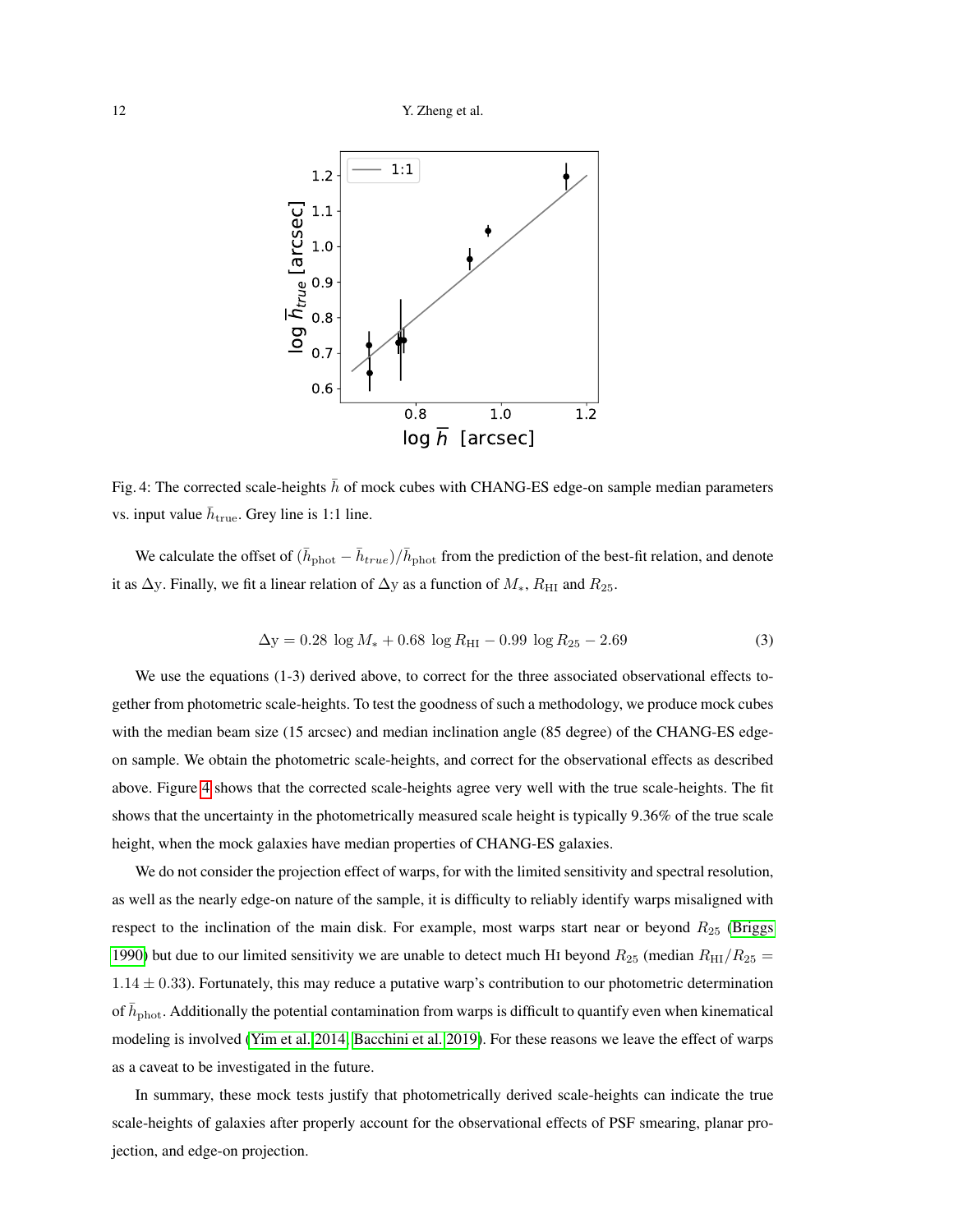<span id="page-11-1"></span><span id="page-11-0"></span>

Fig. 4: The corrected scale-heights  $\bar{h}$  of mock cubes with CHANG-ES edge-on sample median parameters vs. input value  $\bar{h}_{\text{true}}$ . Grey line is 1:1 line.

We calculate the offset of  $(\bar{h}_{phot} - \bar{h}_{true})/\bar{h}_{phot}$  from the prediction of the best-fit relation, and denote it as  $\Delta$ y. Finally, we fit a linear relation of  $\Delta$ y as a function of  $M_*$ ,  $R_{\rm HI}$  and  $R_{25}$ .

$$
\Delta y = 0.28 \log M_{*} + 0.68 \log R_{\text{HI}} - 0.99 \log R_{25} - 2.69 \tag{3}
$$

We use the equations (1-3) derived above, to correct for the three associated observational effects together from photometric scale-heights. To test the goodness of such a methodology, we produce mock cubes with the median beam size (15 arcsec) and median inclination angle (85 degree) of the CHANG-ES edgeon sample. We obtain the photometric scale-heights, and correct for the observational effects as described above. Figure [4](#page-11-0) shows that the corrected scale-heights agree very well with the true scale-heights. The fit shows that the uncertainty in the photometrically measured scale height is typically 9.36% of the true scale height, when the mock galaxies have median properties of CHANG-ES galaxies.

We do not consider the projection effect of warps, for with the limited sensitivity and spectral resolution, as well as the nearly edge-on nature of the sample, it is difficulty to reliably identify warps misaligned with respect to the inclination of the main disk. For example, most warps start near or beyond  $R_{25}$  [\(Briggs](#page-17-17) [1990\)](#page-17-17) but due to our limited sensitivity we are unable to detect much HI beyond  $R_{25}$  (median  $R_{\rm HI}/R_{25}$  =  $1.14 \pm 0.33$ ). Fortunately, this may reduce a putative warp's contribution to our photometric determination of  $\bar{h}_\mathrm{phot}$ . Additionally the potential contamination from warps is difficult to quantify even when kinematical modeling is involved [\(Yim et al. 2014;](#page-19-15) [Bacchini et al. 2019\)](#page-16-3). For these reasons we leave the effect of warps as a caveat to be investigated in the future.

In summary, these mock tests justify that photometrically derived scale-heights can indicate the true scale-heights of galaxies after properly account for the observational effects of PSF smearing, planar projection, and edge-on projection.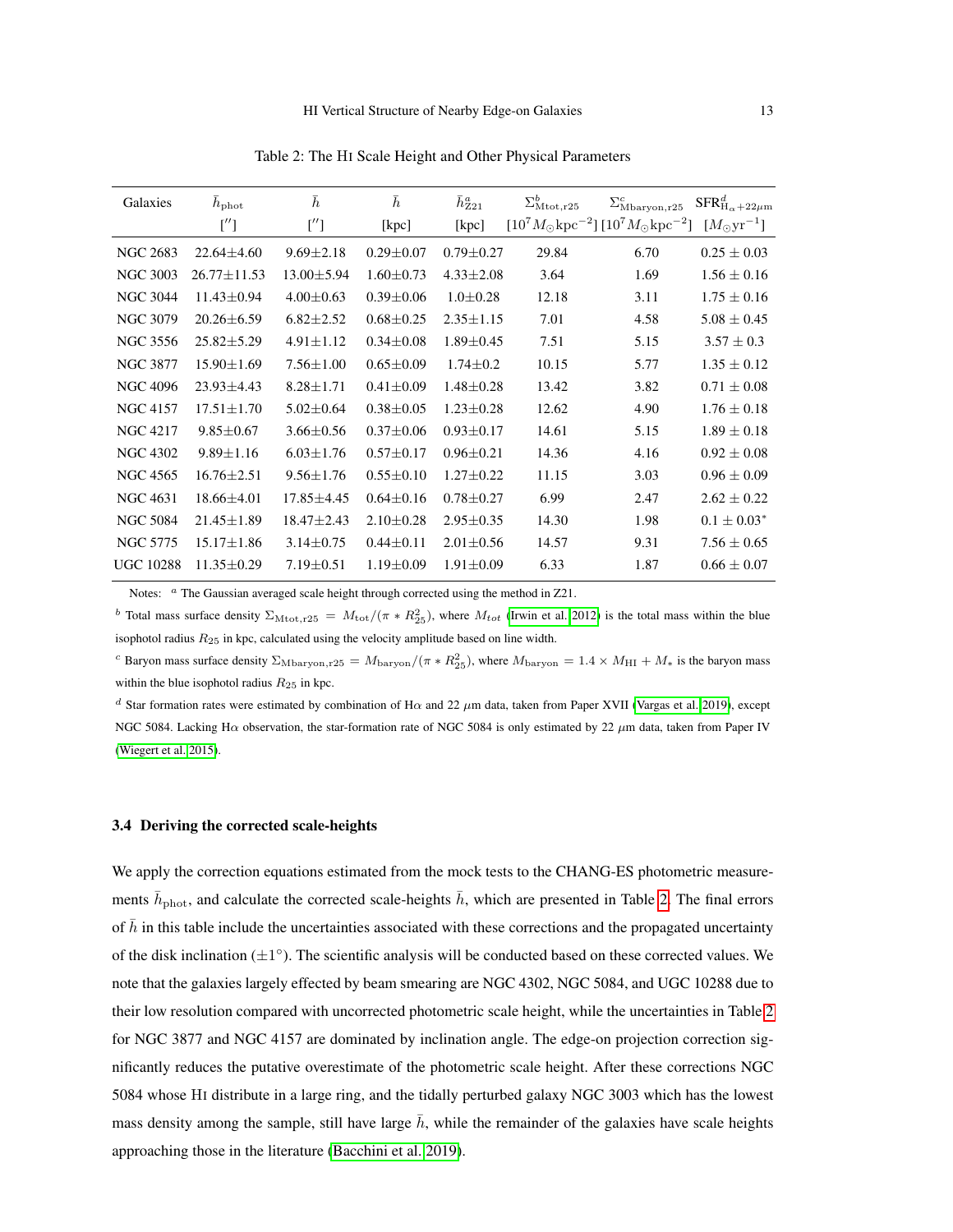Table 2: The HI Scale Height and Other Physical Parameters

<span id="page-12-1"></span><span id="page-12-0"></span>

| Galaxies         | $h_{\rm phot}$    | $\boldsymbol{h}$ | $\bar{h}$       | $\bar{h}^a_{Z21}$ | $\Sigma_{\rm Mtot, r25}^{b}$ | $\Sigma_{\text{Mbaryon},r25}^{c}$                                                              | ${{\rm SFR}_{\rm H}}^d_{\alpha+22\mu{\rm m}}$ |
|------------------|-------------------|------------------|-----------------|-------------------|------------------------------|------------------------------------------------------------------------------------------------|-----------------------------------------------|
|                  | ['']              | ['']             | [kpc]           | [kpc]             |                              | $[10^7 M_{\odot} \text{kpc}^{-2}] [10^7 M_{\odot} \text{kpc}^{-2}] [M_{\odot} \text{yr}^{-1}]$ |                                               |
| <b>NGC 2683</b>  | $22.64 \pm 4.60$  | $9.69 \pm 2.18$  | $0.29 \pm 0.07$ | $0.79 \pm 0.27$   | 29.84                        | 6.70                                                                                           | $0.25 \pm 0.03$                               |
| <b>NGC 3003</b>  | $26.77 \pm 11.53$ | $13.00 \pm 5.94$ | $1.60 \pm 0.73$ | $4.33 \pm 2.08$   | 3.64                         | 1.69                                                                                           | $1.56 \pm 0.16$                               |
| <b>NGC 3044</b>  | $11.43 \pm 0.94$  | $4.00 \pm 0.63$  | $0.39 \pm 0.06$ | $1.0 \pm 0.28$    | 12.18                        | 3.11                                                                                           | $1.75 \pm 0.16$                               |
| <b>NGC 3079</b>  | $20.26 \pm 6.59$  | $6.82 \pm 2.52$  | $0.68 \pm 0.25$ | $2.35 \pm 1.15$   | 7.01                         | 4.58                                                                                           | $5.08 \pm 0.45$                               |
| NGC 3556         | $25.82 \pm 5.29$  | $4.91 \pm 1.12$  | $0.34 \pm 0.08$ | $1.89 \pm 0.45$   | 7.51                         | 5.15                                                                                           | $3.57 \pm 0.3$                                |
| <b>NGC 3877</b>  | $15.90 \pm 1.69$  | $7.56 \pm 1.00$  | $0.65 \pm 0.09$ | $1.74 \pm 0.2$    | 10.15                        | 5.77                                                                                           | $1.35 \pm 0.12$                               |
| <b>NGC 4096</b>  | $23.93 \pm 4.43$  | $8.28 \pm 1.71$  | $0.41 \pm 0.09$ | $1.48 \pm 0.28$   | 13.42                        | 3.82                                                                                           | $0.71 \pm 0.08$                               |
| <b>NGC 4157</b>  | $17.51 \pm 1.70$  | $5.02 \pm 0.64$  | $0.38 + 0.05$   | $1.23 \pm 0.28$   | 12.62                        | 4.90                                                                                           | $1.76 \pm 0.18$                               |
| <b>NGC 4217</b>  | $9.85 \pm 0.67$   | $3.66 \pm 0.56$  | $0.37 \pm 0.06$ | $0.93 \pm 0.17$   | 14.61                        | 5.15                                                                                           | $1.89 \pm 0.18$                               |
| <b>NGC 4302</b>  | $9.89 \pm 1.16$   | $6.03 \pm 1.76$  | $0.57 \pm 0.17$ | $0.96 \pm 0.21$   | 14.36                        | 4.16                                                                                           | $0.92 \pm 0.08$                               |
| NGC 4565         | $16.76 \pm 2.51$  | $9.56 \pm 1.76$  | $0.55 \pm 0.10$ | $1.27 \pm 0.22$   | 11.15                        | 3.03                                                                                           | $0.96 \pm 0.09$                               |
| NGC 4631         | $18.66 \pm 4.01$  | $17.85 \pm 4.45$ | $0.64 \pm 0.16$ | $0.78 \pm 0.27$   | 6.99                         | 2.47                                                                                           | $2.62 \pm 0.22$                               |
| <b>NGC 5084</b>  | $21.45 \pm 1.89$  | $18.47 \pm 2.43$ | $2.10 \pm 0.28$ | $2.95 \pm 0.35$   | 14.30                        | 1.98                                                                                           | $0.1 \pm 0.03^*$                              |
| <b>NGC 5775</b>  | $15.17 \pm 1.86$  | $3.14 \pm 0.75$  | $0.44 \pm 0.11$ | $2.01 \pm 0.56$   | 14.57                        | 9.31                                                                                           | $7.56 \pm 0.65$                               |
| <b>UGC 10288</b> | $11.35 \pm 0.29$  | $7.19 \pm 0.51$  | $1.19 \pm 0.09$ | $1.91 \pm 0.09$   | 6.33                         | 1.87                                                                                           | $0.66 \pm 0.07$                               |

Notes: <sup>a</sup> The Gaussian averaged scale height through corrected using the method in Z21.

<sup>b</sup> Total mass surface density  $\Sigma_{\text{Mtot},r25} = M_{\text{tot}}/(\pi * R_{25}^2)$ , where  $M_{tot}$  [\(Irwin et al. 2012\)](#page-17-21) is the total mass within the blue isophotol radius  $R_{25}$  in kpc, calculated using the velocity amplitude based on line width.

<sup>c</sup> Baryon mass surface density  $\Sigma_{\text{Mbaryon},r25} = M_{\text{baryon}}/(\pi * R_{25}^2)$ , where  $M_{\text{baryon}} = 1.4 \times M_{\text{HI}} + M_*$  is the baryon mass within the blue isophotol radius  $R_{25}$  in kpc.

<sup>d</sup> Star formation rates were estimated by combination of Hα and 22  $\mu$ m data, taken from Paper XVII [\(Vargas et al. 2019\)](#page-19-18), except NGC 5084. Lacking H $\alpha$  observation, the star-formation rate of NGC 5084 is only estimated by 22  $\mu$ m data, taken from Paper IV [\(Wiegert et al. 2015\)](#page-19-14).

## 3.4 Deriving the corrected scale-heights

We apply the correction equations estimated from the mock tests to the CHANG-ES photometric measurements  $\bar{h}_{\text{phot}}$ , and calculate the corrected scale-heights  $\bar{h}$ , which are presented in Table [2.](#page-12-0) The final errors of  $\bar{h}$  in this table include the uncertainties associated with these corrections and the propagated uncertainty of the disk inclination  $(\pm 1^{\circ})$ . The scientific analysis will be conducted based on these corrected values. We note that the galaxies largely effected by beam smearing are NGC 4302, NGC 5084, and UGC 10288 due to their low resolution compared with uncorrected photometric scale height, while the uncertainties in Table [2](#page-12-0) for NGC 3877 and NGC 4157 are dominated by inclination angle. The edge-on projection correction significantly reduces the putative overestimate of the photometric scale height. After these corrections NGC 5084 whose HI distribute in a large ring, and the tidally perturbed galaxy NGC 3003 which has the lowest mass density among the sample, still have large  $\bar{h}$ , while the remainder of the galaxies have scale heights approaching those in the literature [\(Bacchini et al. 2019\)](#page-16-3).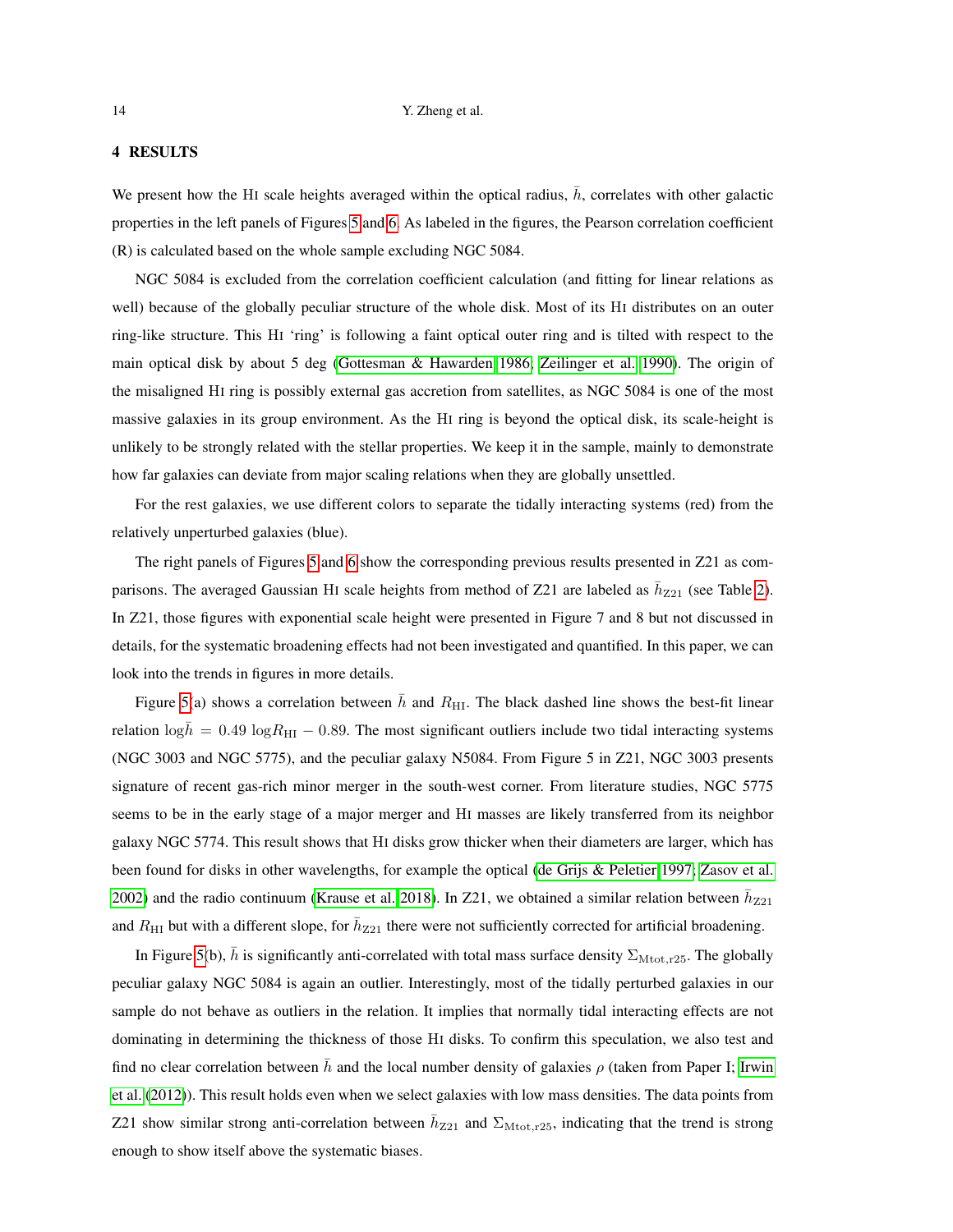## <span id="page-13-0"></span>4 RESULTS

We present how the HI scale heights averaged within the optical radius,  $\bar{h}$ , correlates with other galactic properties in the left panels of Figures [5](#page-20-0) and [6.](#page-21-0) As labeled in the figures, the Pearson correlation coefficient (R) is calculated based on the whole sample excluding NGC 5084.

NGC 5084 is excluded from the correlation coefficient calculation (and fitting for linear relations as well) because of the globally peculiar structure of the whole disk. Most of its HI distributes on an outer ring-like structure. This HI 'ring' is following a faint optical outer ring and is tilted with respect to the main optical disk by about 5 deg [\(Gottesman & Hawarden 1986;](#page-17-25) [Zeilinger et al. 1990\)](#page-19-23). The origin of the misaligned HI ring is possibly external gas accretion from satellites, as NGC 5084 is one of the most massive galaxies in its group environment. As the HI ring is beyond the optical disk, its scale-height is unlikely to be strongly related with the stellar properties. We keep it in the sample, mainly to demonstrate how far galaxies can deviate from major scaling relations when they are globally unsettled.

For the rest galaxies, we use different colors to separate the tidally interacting systems (red) from the relatively unperturbed galaxies (blue).

The right panels of Figures [5](#page-20-0) and [6](#page-21-0) show the corresponding previous results presented in Z21 as comparisons. The averaged Gaussian HI scale heights from method of Z21 are labeled as  $\bar{h}_{Z21}$  (see Table [2\)](#page-12-0). In Z21, those figures with exponential scale height were presented in Figure 7 and 8 but not discussed in details, for the systematic broadening effects had not been investigated and quantified. In this paper, we can look into the trends in figures in more details.

Figure [5\(](#page-20-0)a) shows a correlation between  $\bar{h}$  and  $R_{\text{HI}}$ . The black dashed line shows the best-fit linear relation  $\log \bar{h} = 0.49 \log R_{\text{HI}} - 0.89$ . The most significant outliers include two tidal interacting systems (NGC 3003 and NGC 5775), and the peculiar galaxy N5084. From Figure 5 in Z21, NGC 3003 presents signature of recent gas-rich minor merger in the south-west corner. From literature studies, NGC 5775 seems to be in the early stage of a major merger and HI masses are likely transferred from its neighbor galaxy NGC 5774. This result shows that HI disks grow thicker when their diameters are larger, which has been found for disks in other wavelengths, for example the optical [\(de Grijs & Peletier 1997;](#page-17-26) [Zasov et al.](#page-19-24) [2002\)](#page-19-24) and the radio continuum [\(Krause et al. 2018\)](#page-18-18). In Z21, we obtained a similar relation between  $\bar{h}_{Z21}$ and  $R_{\rm HI}$  but with a different slope, for  $\bar{h}_{Z21}$  there were not sufficiently corrected for artificial broadening.

In Figure [5\(](#page-20-0)b),  $\hbar$  is significantly anti-correlated with total mass surface density  $\Sigma_{\text{Mtot},r25}$ . The globally peculiar galaxy NGC 5084 is again an outlier. Interestingly, most of the tidally perturbed galaxies in our sample do not behave as outliers in the relation. It implies that normally tidal interacting effects are not dominating in determining the thickness of those HI disks. To confirm this speculation, we also test and find no clear correlation between  $\bar{h}$  and the local number density of galaxies  $\rho$  (taken from Paper I; [Irwin](#page-17-21) [et al.](#page-17-21) [\(2012\)](#page-17-21)). This result holds even when we select galaxies with low mass densities. The data points from Z21 show similar strong anti-correlation between  $\bar{h}_{Z21}$  and  $\Sigma_{\text{Mtot},r25}$ , indicating that the trend is strong enough to show itself above the systematic biases.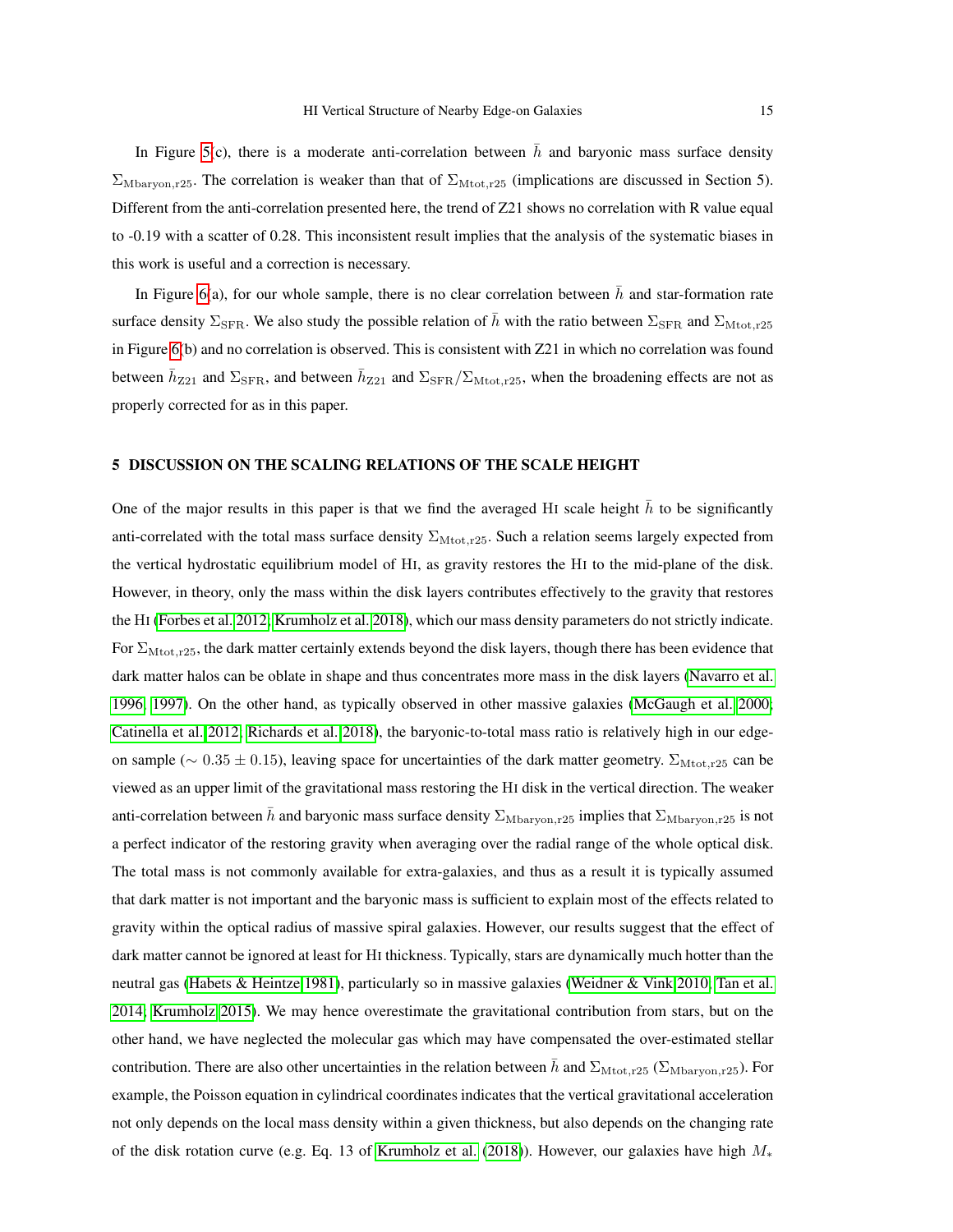<span id="page-14-0"></span>In Figure [5\(](#page-20-0)c), there is a moderate anti-correlation between  $\bar{h}$  and baryonic mass surface density  $\Sigma_{\text{Mbarvon},r25}$ . The correlation is weaker than that of  $\Sigma_{\text{Mtot},r25}$  (implications are discussed in Section 5). Different from the anti-correlation presented here, the trend of Z21 shows no correlation with R value equal to -0.19 with a scatter of 0.28. This inconsistent result implies that the analysis of the systematic biases in this work is useful and a correction is necessary.

In Figure [6\(](#page-21-0)a), for our whole sample, there is no clear correlation between  $\bar{h}$  and star-formation rate surface density  $\Sigma_{\rm SFR}$ . We also study the possible relation of h with the ratio between  $\Sigma_{\rm SFR}$  and  $\Sigma_{\rm Mtot,25}$ in Figure [6\(](#page-21-0)b) and no correlation is observed. This is consistent with Z21 in which no correlation was found between  $\bar{h}_{Z21}$  and  $\Sigma_{\rm SFR}$ , and between  $\bar{h}_{Z21}$  and  $\Sigma_{\rm SFR}/\Sigma_{\rm Mtot,r25}$ , when the broadening effects are not as properly corrected for as in this paper.

# 5 DISCUSSION ON THE SCALING RELATIONS OF THE SCALE HEIGHT

One of the major results in this paper is that we find the averaged HI scale height  $h$  to be significantly anti-correlated with the total mass surface density  $\Sigma_{\text{Mtot},r25}$ . Such a relation seems largely expected from the vertical hydrostatic equilibrium model of HI, as gravity restores the HI to the mid-plane of the disk. However, in theory, only the mass within the disk layers contributes effectively to the gravity that restores the HI [\(Forbes et al. 2012;](#page-17-27) [Krumholz et al. 2018\)](#page-18-3), which our mass density parameters do not strictly indicate. For  $\Sigma_{\text{Mtot},r25}$ , the dark matter certainly extends beyond the disk layers, though there has been evidence that dark matter halos can be oblate in shape and thus concentrates more mass in the disk layers [\(Navarro et al.](#page-18-23) [1996,](#page-18-23) [1997\)](#page-18-24). On the other hand, as typically observed in other massive galaxies [\(McGaugh et al. 2000;](#page-18-25) [Catinella et al. 2012;](#page-17-28) [Richards et al. 2018\)](#page-18-26), the baryonic-to-total mass ratio is relatively high in our edgeon sample ( $\sim 0.35 \pm 0.15$ ), leaving space for uncertainties of the dark matter geometry.  $\Sigma_{\text{Mtot},r25}$  can be viewed as an upper limit of the gravitational mass restoring the HI disk in the vertical direction. The weaker anti-correlation between h and baryonic mass surface density  $\Sigma_{\text{Mbaryon},r25}$  implies that  $\Sigma_{\text{Mbaryon},r25}$  is not a perfect indicator of the restoring gravity when averaging over the radial range of the whole optical disk. The total mass is not commonly available for extra-galaxies, and thus as a result it is typically assumed that dark matter is not important and the baryonic mass is sufficient to explain most of the effects related to gravity within the optical radius of massive spiral galaxies. However, our results suggest that the effect of dark matter cannot be ignored at least for HI thickness. Typically, stars are dynamically much hotter than the neutral gas [\(Habets & Heintze 1981\)](#page-17-29), particularly so in massive galaxies [\(Weidner & Vink 2010;](#page-19-25) [Tan et al.](#page-19-26) [2014;](#page-19-26) [Krumholz 2015\)](#page-18-27). We may hence overestimate the gravitational contribution from stars, but on the other hand, we have neglected the molecular gas which may have compensated the over-estimated stellar contribution. There are also other uncertainties in the relation between  $\bar{h}$  and  $\Sigma_{\text{Mtot},r25}$  ( $\Sigma_{\text{Mbaryon},r25}$ ). For example, the Poisson equation in cylindrical coordinates indicates that the vertical gravitational acceleration not only depends on the local mass density within a given thickness, but also depends on the changing rate of the disk rotation curve (e.g. Eq. 13 of [Krumholz et al.](#page-18-3) [\(2018\)](#page-18-3)). However, our galaxies have high  $M_*$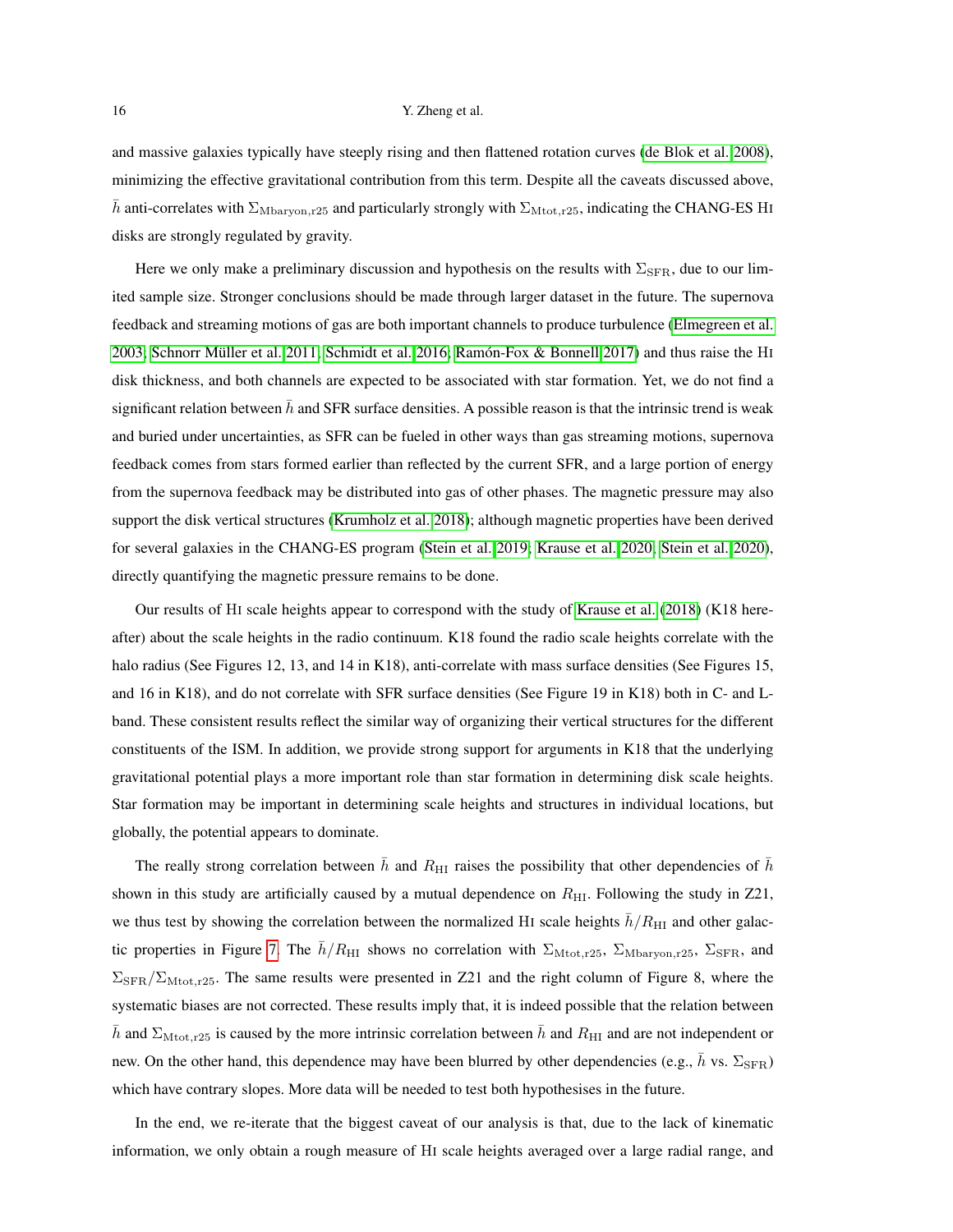<span id="page-15-0"></span>and massive galaxies typically have steeply rising and then flattened rotation curves [\(de Blok et al. 2008\)](#page-17-23), minimizing the effective gravitational contribution from this term. Despite all the caveats discussed above, h anti-correlates with  $\Sigma_{\rm Mbar,25}$  and particularly strongly with  $\Sigma_{\rm Mtot,25}$ , indicating the CHANG-ES HI disks are strongly regulated by gravity.

Here we only make a preliminary discussion and hypothesis on the results with  $\Sigma_{\rm SFR}$ , due to our limited sample size. Stronger conclusions should be made through larger dataset in the future. The supernova feedback and streaming motions of gas are both important channels to produce turbulence [\(Elmegreen et al.](#page-17-30) [2003;](#page-17-30) Schnorr Müller et al. 2011; [Schmidt et al. 2016;](#page-19-28) Ramón-Fox  $\&$  Bonnell 2017) and thus raise the HI disk thickness, and both channels are expected to be associated with star formation. Yet, we do not find a significant relation between  $\bar{h}$  and SFR surface densities. A possible reason is that the intrinsic trend is weak and buried under uncertainties, as SFR can be fueled in other ways than gas streaming motions, supernova feedback comes from stars formed earlier than reflected by the current SFR, and a large portion of energy from the supernova feedback may be distributed into gas of other phases. The magnetic pressure may also support the disk vertical structures [\(Krumholz et al. 2018\)](#page-18-3); although magnetic properties have been derived for several galaxies in the CHANG-ES program [\(Stein et al. 2019;](#page-19-29) [Krause et al. 2020;](#page-18-29) [Stein et al. 2020\)](#page-19-30), directly quantifying the magnetic pressure remains to be done.

Our results of HI scale heights appear to correspond with the study of [Krause et al.](#page-18-18) [\(2018\)](#page-18-18) (K18 hereafter) about the scale heights in the radio continuum. K18 found the radio scale heights correlate with the halo radius (See Figures 12, 13, and 14 in K18), anti-correlate with mass surface densities (See Figures 15, and 16 in K18), and do not correlate with SFR surface densities (See Figure 19 in K18) both in C- and Lband. These consistent results reflect the similar way of organizing their vertical structures for the different constituents of the ISM. In addition, we provide strong support for arguments in K18 that the underlying gravitational potential plays a more important role than star formation in determining disk scale heights. Star formation may be important in determining scale heights and structures in individual locations, but globally, the potential appears to dominate.

The really strong correlation between h and  $R_{\text{HI}}$  raises the possibility that other dependencies of h shown in this study are artificially caused by a mutual dependence on  $R_{\text{HI}}$ . Following the study in Z21, we thus test by showing the correlation between the normalized HI scale heights  $\bar{h}/R_{\rm HI}$  and other galac-tic properties in Figure [7.](#page-22-0) The  $\bar{h}/R_{\rm HI}$  shows no correlation with  $\Sigma_{\rm Mtot,r25}$ ,  $\Sigma_{\rm Mbarvon,r25}$ ,  $\Sigma_{\rm SFR}$ , and  $\Sigma_{\rm SFR}/\Sigma_{\rm Mtot, r25}$ . The same results were presented in Z21 and the right column of Figure 8, where the systematic biases are not corrected. These results imply that, it is indeed possible that the relation between h and  $\Sigma_{\text{Mtot},r25}$  is caused by the more intrinsic correlation between h and  $R_{\text{HI}}$  and are not independent or new. On the other hand, this dependence may have been blurred by other dependencies (e.g.,  $\bar{h}$  vs.  $\Sigma_{\rm SFR}$ ) which have contrary slopes. More data will be needed to test both hypothesises in the future.

In the end, we re-iterate that the biggest caveat of our analysis is that, due to the lack of kinematic information, we only obtain a rough measure of HI scale heights averaged over a large radial range, and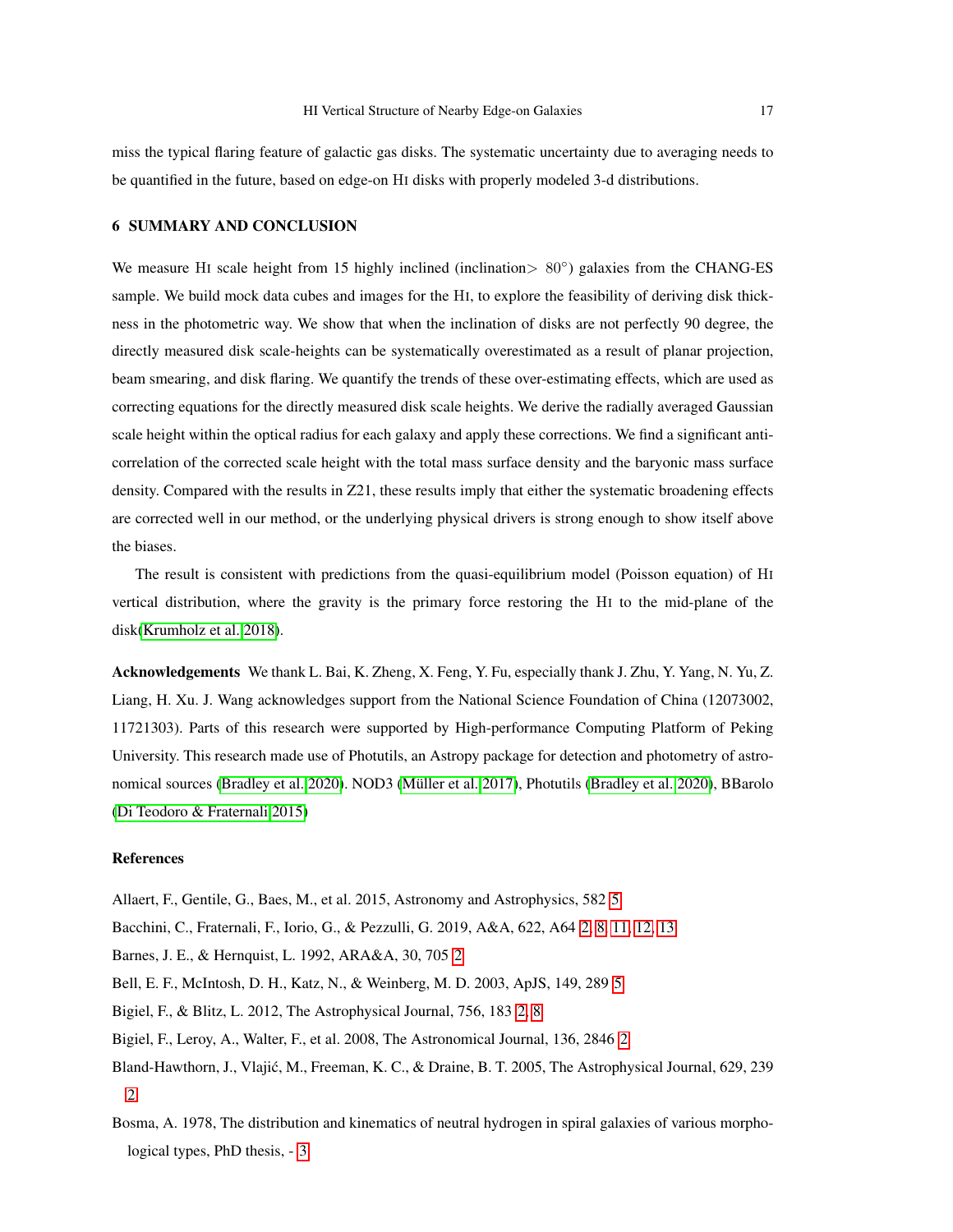<span id="page-16-8"></span>miss the typical flaring feature of galactic gas disks. The systematic uncertainty due to averaging needs to be quantified in the future, based on edge-on HI disks with properly modeled 3-d distributions.

#### 6 SUMMARY AND CONCLUSION

We measure HI scale height from 15 highly inclined (inclination> 80°) galaxies from the CHANG-ES sample. We build mock data cubes and images for the HI, to explore the feasibility of deriving disk thickness in the photometric way. We show that when the inclination of disks are not perfectly 90 degree, the directly measured disk scale-heights can be systematically overestimated as a result of planar projection, beam smearing, and disk flaring. We quantify the trends of these over-estimating effects, which are used as correcting equations for the directly measured disk scale heights. We derive the radially averaged Gaussian scale height within the optical radius for each galaxy and apply these corrections. We find a significant anticorrelation of the corrected scale height with the total mass surface density and the baryonic mass surface density. Compared with the results in Z21, these results imply that either the systematic broadening effects are corrected well in our method, or the underlying physical drivers is strong enough to show itself above the biases.

The result is consistent with predictions from the quasi-equilibrium model (Poisson equation) of HI vertical distribution, where the gravity is the primary force restoring the HI to the mid-plane of the disk[\(Krumholz et al. 2018\)](#page-18-3).

Acknowledgements We thank L. Bai, K. Zheng, X. Feng, Y. Fu, especially thank J. Zhu, Y. Yang, N. Yu, Z. Liang, H. Xu. J. Wang acknowledges support from the National Science Foundation of China (12073002, 11721303). Parts of this research were supported by High-performance Computing Platform of Peking University. This research made use of Photutils, an Astropy package for detection and photometry of astronomical sources [\(Bradley et al. 2020\)](#page-17-31). NOD3 [\(Muller et al. 2017\)](#page-18-22), Photutils [\(Bradley et al. 2020\)](#page-17-31), BBarolo ¨ [\(Di Teodoro & Fraternali 2015\)](#page-17-24)

## References

<span id="page-16-7"></span><span id="page-16-6"></span><span id="page-16-3"></span><span id="page-16-1"></span><span id="page-16-0"></span>Allaert, F., Gentile, G., Baes, M., et al. 2015, Astronomy and Astrophysics, 582 [5](#page-4-1) Bacchini, C., Fraternali, F., Iorio, G., & Pezzulli, G. 2019, A&A, 622, A64 [2,](#page-1-0) [8,](#page-7-0) [11,](#page-10-0) [12,](#page-11-1) [13](#page-12-1) Barnes, J. E., & Hernquist, L. 1992, ARA&A, 30, 705 [2](#page-1-0) Bell, E. F., McIntosh, D. H., Katz, N., & Weinberg, M. D. 2003, ApJS, 149, 289 [5](#page-4-1) Bigiel, F., & Blitz, L. 2012, The Astrophysical Journal, 756, 183 [2,](#page-1-0) [8](#page-7-0) Bigiel, F., Leroy, A., Walter, F., et al. 2008, The Astronomical Journal, 136, 2846 [2](#page-1-0) Bland-Hawthorn, J., Vlajic, M., Freeman, K. C., & Draine, B. T. 2005, The Astrophysical Journal, 629, 239 ´ [2](#page-1-0)

<span id="page-16-5"></span><span id="page-16-4"></span><span id="page-16-2"></span>Bosma, A. 1978, The distribution and kinematics of neutral hydrogen in spiral galaxies of various morphological types, PhD thesis, - [3](#page-2-0)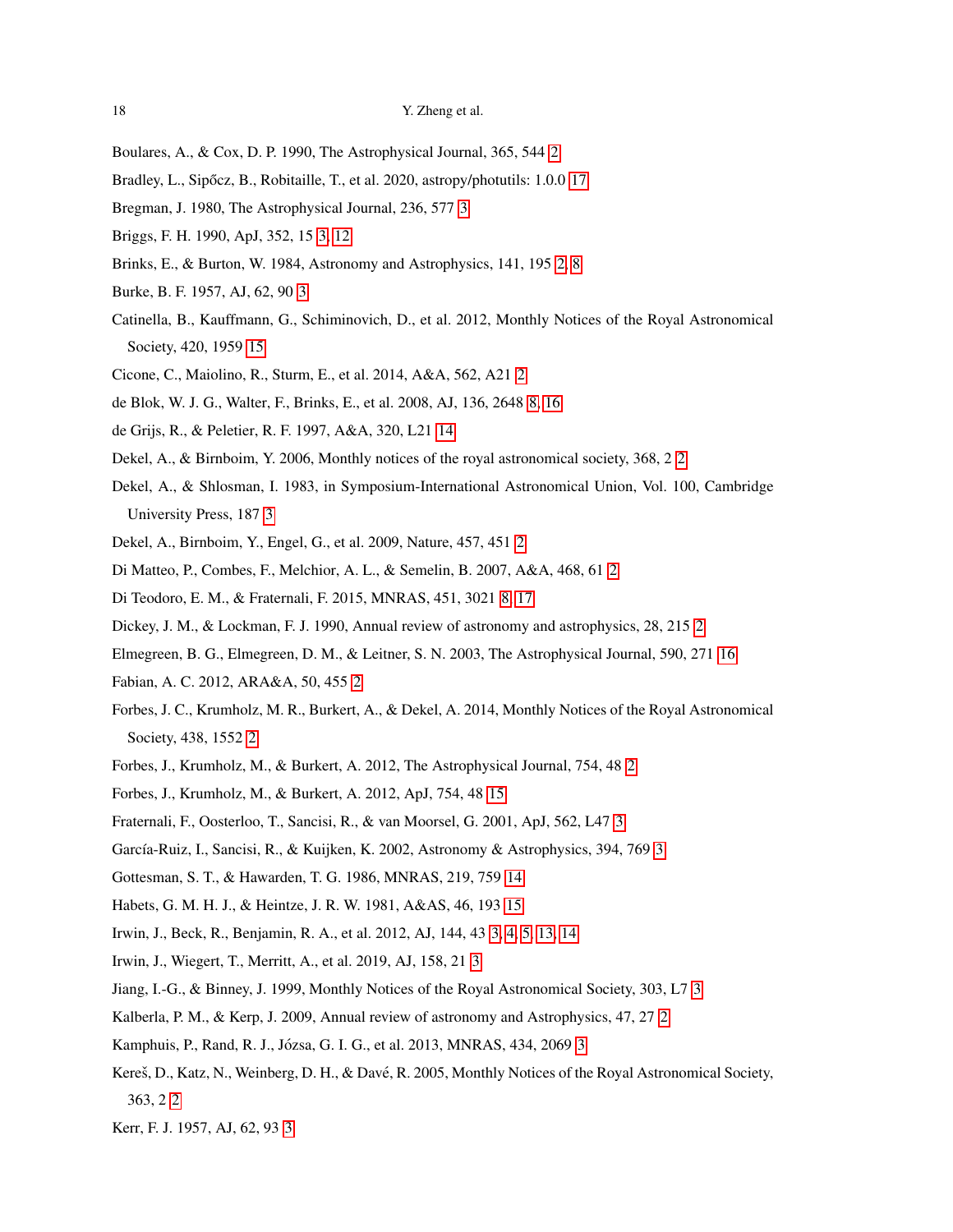- <span id="page-17-31"></span><span id="page-17-0"></span>Boulares, A., & Cox, D. P. 1990, The Astrophysical Journal, 365, 544 [2](#page-1-0)
- <span id="page-17-14"></span>Bradley, L., Sipőcz, B., Robitaille, T., et al. 2020, astropy/photutils: 1.0.0 [17](#page-16-8)
- <span id="page-17-17"></span>Bregman, J. 1980, The Astrophysical Journal, 236, 577 [3](#page-2-0)
- <span id="page-17-11"></span>Briggs, F. H. 1990, ApJ, 352, 15 [3,](#page-2-0) [12](#page-11-1)
- <span id="page-17-15"></span>Brinks, E., & Burton, W. 1984, Astronomy and Astrophysics, 141, 195 [2,](#page-1-0) [8](#page-7-0)
- <span id="page-17-28"></span>Burke, B. F. 1957, AJ, 62, 90 [3](#page-2-0)
- Catinella, B., Kauffmann, G., Schiminovich, D., et al. 2012, Monthly Notices of the Royal Astronomical Society, 420, 1959 [15](#page-14-0)
- <span id="page-17-23"></span><span id="page-17-8"></span>Cicone, C., Maiolino, R., Sturm, E., et al. 2014, A&A, 562, A21 [2](#page-1-0)
- <span id="page-17-26"></span>de Blok, W. J. G., Walter, F., Brinks, E., et al. 2008, AJ, 136, 2648 [8,](#page-7-0) [16](#page-15-0)
- <span id="page-17-4"></span>de Grijs, R., & Peletier, R. F. 1997, A&A, 320, L21 [14](#page-13-0)
- <span id="page-17-20"></span>Dekel, A., & Birnboim, Y. 2006, Monthly notices of the royal astronomical society, 368, 2 [2](#page-1-0)
- Dekel, A., & Shlosman, I. 1983, in Symposium-International Astronomical Union, Vol. 100, Cambridge University Press, 187 [3](#page-2-0)
- <span id="page-17-6"></span><span id="page-17-5"></span>Dekel, A., Birnboim, Y., Engel, G., et al. 2009, Nature, 457, 451 [2](#page-1-0)
- <span id="page-17-24"></span>Di Matteo, P., Combes, F., Melchior, A. L., & Semelin, B. 2007, A&A, 468, 61 [2](#page-1-0)
- <span id="page-17-9"></span>Di Teodoro, E. M., & Fraternali, F. 2015, MNRAS, 451, 3021 [8,](#page-7-0) [17](#page-16-8)
- <span id="page-17-30"></span>Dickey, J. M., & Lockman, F. J. 1990, Annual review of astronomy and astrophysics, 28, 215 [2](#page-1-0)
- <span id="page-17-7"></span>Elmegreen, B. G., Elmegreen, D. M., & Leitner, S. N. 2003, The Astrophysical Journal, 590, 271 [16](#page-15-0)
- <span id="page-17-2"></span>Fabian, A. C. 2012, ARA&A, 50, 455 [2](#page-1-0)
- Forbes, J. C., Krumholz, M. R., Burkert, A., & Dekel, A. 2014, Monthly Notices of the Royal Astronomical Society, 438, 1552 [2](#page-1-0)
- <span id="page-17-27"></span><span id="page-17-1"></span>Forbes, J., Krumholz, M., & Burkert, A. 2012, The Astrophysical Journal, 754, 48 [2](#page-1-0)
- <span id="page-17-13"></span>Forbes, J., Krumholz, M., & Burkert, A. 2012, ApJ, 754, 48 [15](#page-14-0)
- <span id="page-17-18"></span>Fraternali, F., Oosterloo, T., Sancisi, R., & van Moorsel, G. 2001, ApJ, 562, L47 [3](#page-2-0)
- <span id="page-17-25"></span>García-Ruiz, I., Sancisi, R., & Kuijken, K. 2002, Astronomy & Astrophysics, [3](#page-2-0)94, 769 3
- <span id="page-17-29"></span>Gottesman, S. T., & Hawarden, T. G. 1986, MNRAS, 219, 759 [14](#page-13-0)
- <span id="page-17-21"></span>Habets, G. M. H. J., & Heintze, J. R. W. 1981, A&AS, 46, 193 [15](#page-14-0)
- <span id="page-17-22"></span>Irwin, J., Beck, R., Benjamin, R. A., et al. 2012, AJ, 144, 43 [3,](#page-2-0) [4,](#page-3-0) [5,](#page-4-1) [13,](#page-12-1) [14](#page-13-0)
- <span id="page-17-19"></span>Irwin, J., Wiegert, T., Merritt, A., et al. 2019, AJ, 158, 21 [3](#page-2-0)
- <span id="page-17-10"></span>Jiang, I.-G., & Binney, J. 1999, Monthly Notices of the Royal Astronomical Society, 303, L7 [3](#page-2-0)
- <span id="page-17-12"></span>Kalberla, P. M., & Kerp, J. 2009, Annual review of astronomy and Astrophysics, 47, 27 [2](#page-1-0)
- <span id="page-17-3"></span>Kamphuis, P., Rand, R. J., Józsa, G. I. G., et al. 2013, MNRAS, 434, 2069 [3](#page-2-0)
- Kereš, D., Katz, N., Weinberg, D. H., & Davé, R. 2005, Monthly Notices of the Royal Astronomical Society, 363, 2 [2](#page-1-0)

<span id="page-17-16"></span>Kerr, F. J. 1957, AJ, 62, 93 [3](#page-2-0)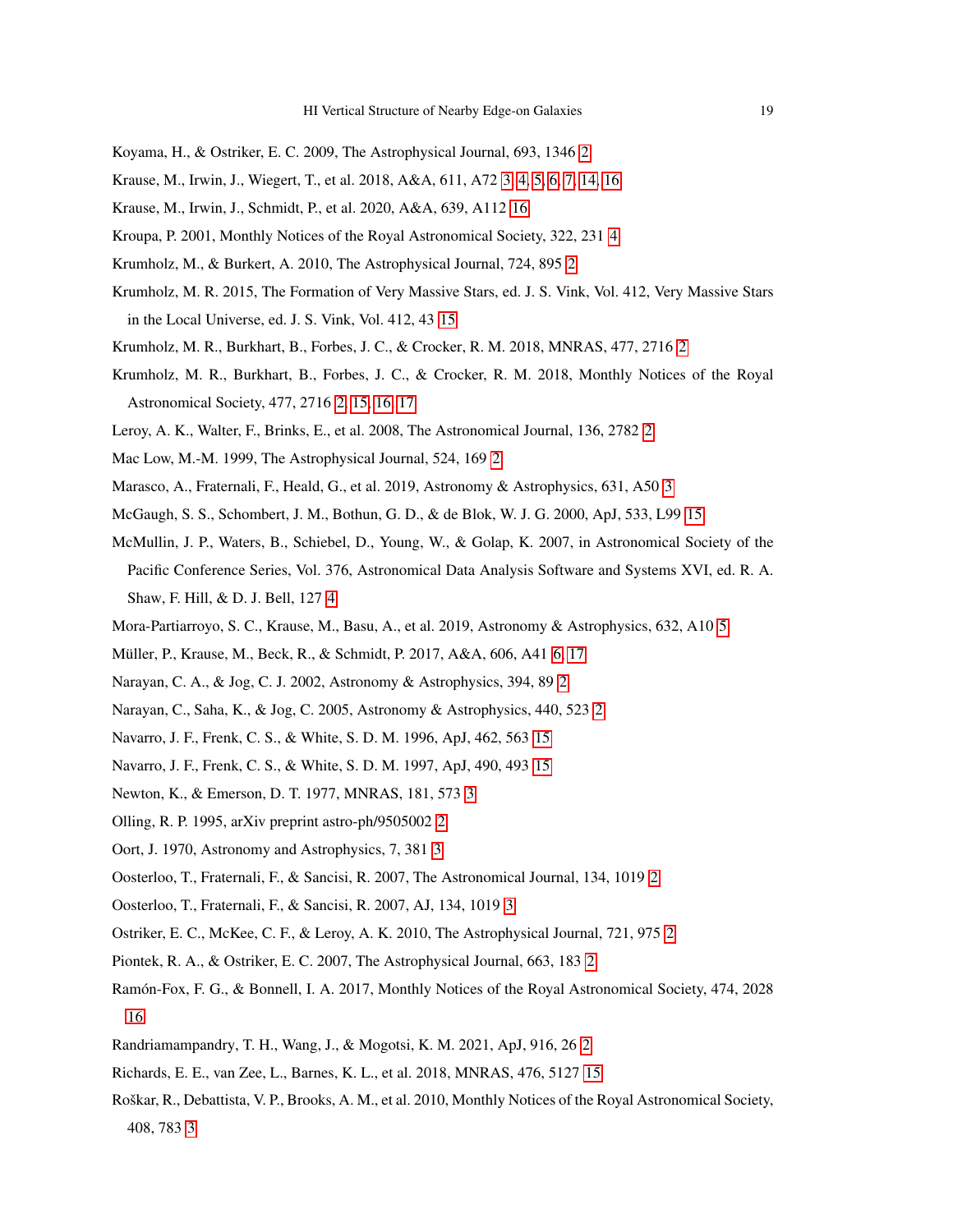- <span id="page-18-18"></span><span id="page-18-1"></span>Koyama, H., & Ostriker, E. C. 2009, The Astrophysical Journal, 693, 1346 [2](#page-1-0)
- <span id="page-18-29"></span>Krause, M., Irwin, J., Wiegert, T., et al. 2018, A&A, 611, A72 [3,](#page-2-0) [4,](#page-3-0) [5,](#page-4-1) [6,](#page-5-1) [7,](#page-6-1) [14,](#page-13-0) [16](#page-15-0)
- <span id="page-18-19"></span>Krause, M., Irwin, J., Schmidt, P., et al. 2020, A&A, 639, A112 [16](#page-15-0)
- <span id="page-18-5"></span>Kroupa, P. 2001, Monthly Notices of the Royal Astronomical Society, 322, 231 [4](#page-3-0)
- <span id="page-18-27"></span>Krumholz, M., & Burkert, A. 2010, The Astrophysical Journal, 724, 895 [2](#page-1-0)
- Krumholz, M. R. 2015, The Formation of Very Massive Stars, ed. J. S. Vink, Vol. 412, Very Massive Stars in the Local Universe, ed. J. S. Vink, Vol. 412, 43 [15](#page-14-0)
- <span id="page-18-11"></span><span id="page-18-3"></span>Krumholz, M. R., Burkhart, B., Forbes, J. C., & Crocker, R. M. 2018, MNRAS, 477, 2716 [2](#page-1-0)
- Krumholz, M. R., Burkhart, B., Forbes, J. C., & Crocker, R. M. 2018, Monthly Notices of the Royal Astronomical Society, 477, 2716 [2,](#page-1-0) [15,](#page-14-0) [16,](#page-15-0) [17](#page-16-8)
- <span id="page-18-12"></span><span id="page-18-4"></span>Leroy, A. K., Walter, F., Brinks, E., et al. 2008, The Astronomical Journal, 136, 2782 [2](#page-1-0)
- <span id="page-18-15"></span>Mac Low, M.-M. 1999, The Astrophysical Journal, 524, 169 [2](#page-1-0)
- <span id="page-18-25"></span>Marasco, A., Fraternali, F., Heald, G., et al. 2019, Astronomy & Astrophysics, 631, A50 [3](#page-2-0)
- <span id="page-18-20"></span>McGaugh, S. S., Schombert, J. M., Bothun, G. D., & de Blok, W. J. G. 2000, ApJ, 533, L99 [15](#page-14-0)
- McMullin, J. P., Waters, B., Schiebel, D., Young, W., & Golap, K. 2007, in Astronomical Society of the Pacific Conference Series, Vol. 376, Astronomical Data Analysis Software and Systems XVI, ed. R. A. Shaw, F. Hill, & D. J. Bell, 127 [4](#page-3-0)
- <span id="page-18-22"></span><span id="page-18-21"></span>Mora-Partiarroyo, S. C., Krause, M., Basu, A., et al. 2019, Astronomy & Astrophysics, 632, A10 [5](#page-4-1)
- <span id="page-18-8"></span>Müller, P., Krause, M., Beck, R., & Schmidt, P. 2017, A&A, 606, A41 [6,](#page-5-1) [17](#page-16-8)
- <span id="page-18-10"></span>Narayan, C. A., & Jog, C. J. 2002, Astronomy & Astrophysics, 394, 89 [2](#page-1-0)
- <span id="page-18-23"></span>Narayan, C., Saha, K., & Jog, C. 2005, Astronomy & Astrophysics, 440, 523 [2](#page-1-0)
- <span id="page-18-24"></span>Navarro, J. F., Frenk, C. S., & White, S. D. M. 1996, ApJ, 462, 563 [15](#page-14-0)
- <span id="page-18-16"></span>Navarro, J. F., Frenk, C. S., & White, S. D. M. 1997, ApJ, 490, 493 [15](#page-14-0)
- <span id="page-18-9"></span>Newton, K., & Emerson, D. T. 1977, MNRAS, 181, 573 [3](#page-2-0)
- <span id="page-18-14"></span>Olling, R. P. 1995, arXiv preprint astro-ph/9505002 [2](#page-1-0)
- <span id="page-18-6"></span>Oort, J. 1970, Astronomy and Astrophysics, 7, 381 [3](#page-2-0)
- <span id="page-18-13"></span>Oosterloo, T., Fraternali, F., & Sancisi, R. 2007, The Astronomical Journal, 134, 1019 [2](#page-1-0)
- <span id="page-18-2"></span>Oosterloo, T., Fraternali, F., & Sancisi, R. 2007, AJ, 134, 1019 [3](#page-2-0)
- <span id="page-18-0"></span>Ostriker, E. C., McKee, C. F., & Leroy, A. K. 2010, The Astrophysical Journal, 721, 975 [2](#page-1-0)
- <span id="page-18-28"></span>Piontek, R. A., & Ostriker, E. C. 2007, The Astrophysical Journal, 663, 183 [2](#page-1-0)
- Ramón-Fox, F. G., & Bonnell, I. A. 2017, Monthly Notices of the Royal Astronomical Society, 474, 2028 [16](#page-15-0)
- <span id="page-18-26"></span><span id="page-18-7"></span>Randriamampandry, T. H., Wang, J., & Mogotsi, K. M. 2021, ApJ, 916, 26 [2](#page-1-0)
- <span id="page-18-17"></span>Richards, E. E., van Zee, L., Barnes, K. L., et al. 2018, MNRAS, 476, 5127 [15](#page-14-0)
- Roškar, R., Debattista, V. P., Brooks, A. M., et al. 2010, Monthly Notices of the Royal Astronomical Society, 408, 783 [3](#page-2-0)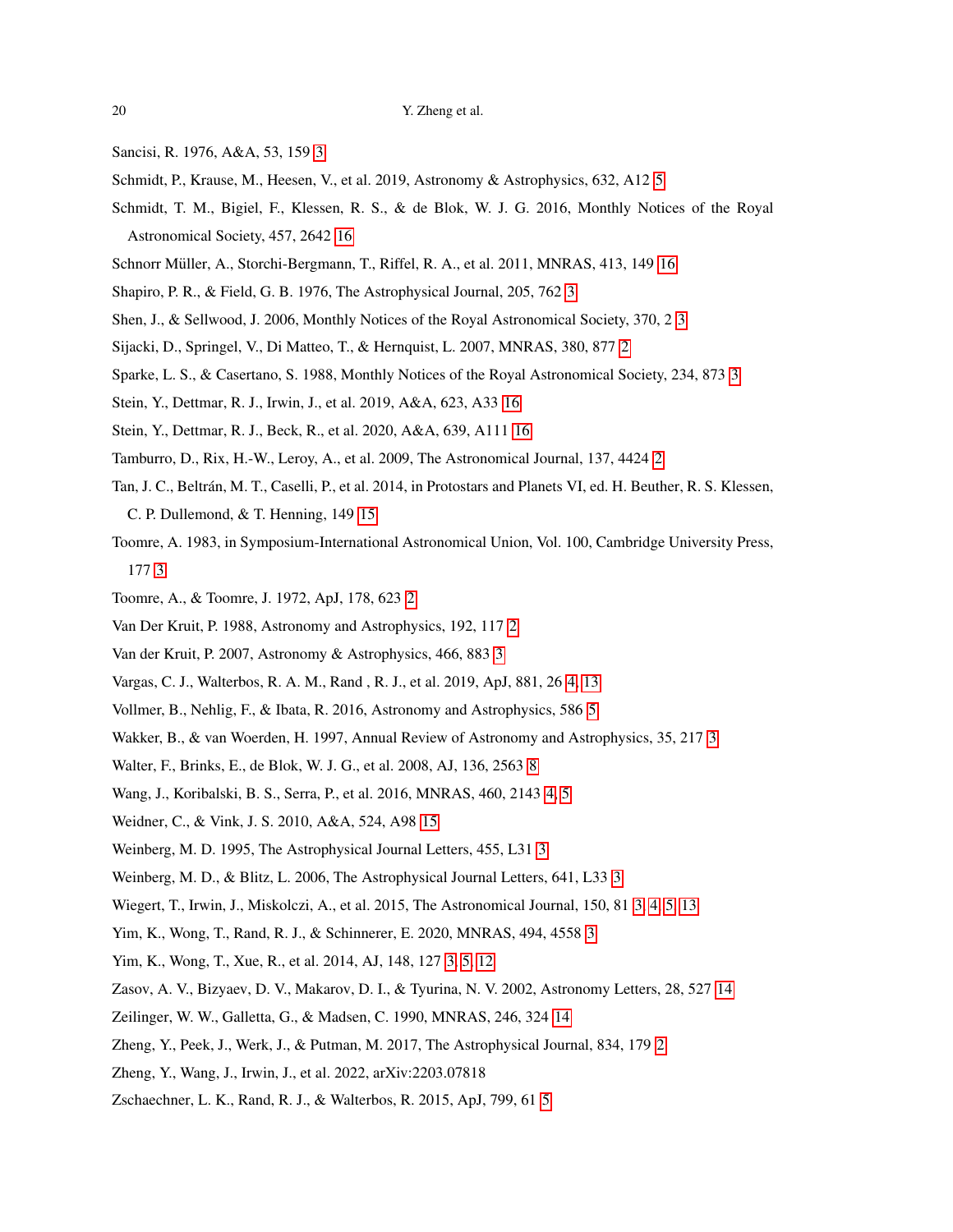- <span id="page-19-19"></span><span id="page-19-7"></span>Sancisi, R. 1976, A&A, 53, 159 [3](#page-2-0)
- <span id="page-19-28"></span>Schmidt, P., Krause, M., Heesen, V., et al. 2019, Astronomy & Astrophysics, 632, A12 [5](#page-4-1)
- Schmidt, T. M., Bigiel, F., Klessen, R. S., & de Blok, W. J. G. 2016, Monthly Notices of the Royal Astronomical Society, 457, 2642 [16](#page-15-0)
- <span id="page-19-27"></span><span id="page-19-6"></span>Schnorr Müller, A., Storchi-Bergmann, T., Riffel, R. A., et al. 2011, MNRAS, 413, 149 [16](#page-15-0)
- <span id="page-19-9"></span>Shapiro, P. R., & Field, G. B. 1976, The Astrophysical Journal, 205, 762 [3](#page-2-0)
- <span id="page-19-3"></span>Shen, J., & Sellwood, J. 2006, Monthly Notices of the Royal Astronomical Society, 370, 2 [3](#page-2-0)
- <span id="page-19-11"></span>Sijacki, D., Springel, V., Di Matteo, T., & Hernquist, L. 2007, MNRAS, 380, 877 [2](#page-1-0)
- <span id="page-19-29"></span>Sparke, L. S., & Casertano, S. 1988, Monthly Notices of the Royal Astronomical Society, 234, 873 [3](#page-2-0)
- <span id="page-19-30"></span>Stein, Y., Dettmar, R. J., Irwin, J., et al. 2019, A&A, 623, A33 [16](#page-15-0)
- <span id="page-19-0"></span>Stein, Y., Dettmar, R. J., Beck, R., et al. 2020, A&A, 639, A111 [16](#page-15-0)
- <span id="page-19-26"></span>Tamburro, D., Rix, H.-W., Leroy, A., et al. 2009, The Astronomical Journal, 137, 4424 [2](#page-1-0)
- Tan, J. C., Beltran, M. T., Caselli, P., et al. 2014, in Protostars and Planets VI, ed. H. Beuther, R. S. Klessen, ´ C. P. Dullemond, & T. Henning, 149 [15](#page-14-0)
- <span id="page-19-10"></span>Toomre, A. 1983, in Symposium-International Astronomical Union, Vol. 100, Cambridge University Press, 177 [3](#page-2-0)
- <span id="page-19-4"></span><span id="page-19-2"></span>Toomre, A., & Toomre, J. 1972, ApJ, 178, 623 [2](#page-1-0)
- <span id="page-19-8"></span>Van Der Kruit, P. 1988, Astronomy and Astrophysics, 192, 117 [2](#page-1-0)
- <span id="page-19-18"></span>Van der Kruit, P. 2007, Astronomy & Astrophysics, 466, 883 [3](#page-2-0)
- <span id="page-19-20"></span>Vargas, C. J., Walterbos, R. A. M., Rand , R. J., et al. 2019, ApJ, 881, 26 [4,](#page-3-0) [13](#page-12-1)
- <span id="page-19-5"></span>Vollmer, B., Nehlig, F., & Ibata, R. 2016, Astronomy and Astrophysics, 586 [5](#page-4-1)
- <span id="page-19-22"></span>Wakker, B., & van Woerden, H. 1997, Annual Review of Astronomy and Astrophysics, 35, 217 [3](#page-2-0)
- <span id="page-19-17"></span>Walter, F., Brinks, E., de Blok, W. J. G., et al. 2008, AJ, 136, 2563 [8](#page-7-0)
- <span id="page-19-25"></span>Wang, J., Koribalski, B. S., Serra, P., et al. 2016, MNRAS, 460, 2143 [4,](#page-3-0) [5](#page-4-1)
- <span id="page-19-12"></span>Weidner, C., & Vink, J. S. 2010, A&A, 524, A98 [15](#page-14-0)
- <span id="page-19-13"></span>Weinberg, M. D. 1995, The Astrophysical Journal Letters, 455, L31 [3](#page-2-0)
- <span id="page-19-14"></span>Weinberg, M. D., & Blitz, L. 2006, The Astrophysical Journal Letters, 641, L33 [3](#page-2-0)
- <span id="page-19-16"></span>Wiegert, T., Irwin, J., Miskolczi, A., et al. 2015, The Astronomical Journal, 150, 81 [3,](#page-2-0) [4,](#page-3-0) [5,](#page-4-1) [13](#page-12-1)
- <span id="page-19-15"></span>Yim, K., Wong, T., Rand, R. J., & Schinnerer, E. 2020, MNRAS, 494, 4558 [3](#page-2-0)
- <span id="page-19-24"></span>Yim, K., Wong, T., Xue, R., et al. 2014, AJ, 148, 127 [3,](#page-2-0) [5,](#page-4-1) [12](#page-11-1)
- <span id="page-19-23"></span>Zasov, A. V., Bizyaev, D. V., Makarov, D. I., & Tyurina, N. V. 2002, Astronomy Letters, 28, 527 [14](#page-13-0)
- <span id="page-19-1"></span>Zeilinger, W. W., Galletta, G., & Madsen, C. 1990, MNRAS, 246, 324 [14](#page-13-0)
- Zheng, Y., Peek, J., Werk, J., & Putman, M. 2017, The Astrophysical Journal, 834, 179 [2](#page-1-0)
- <span id="page-19-21"></span>Zheng, Y., Wang, J., Irwin, J., et al. 2022, arXiv:2203.07818
- Zschaechner, L. K., Rand, R. J., & Walterbos, R. 2015, ApJ, 799, 61 [5](#page-4-1)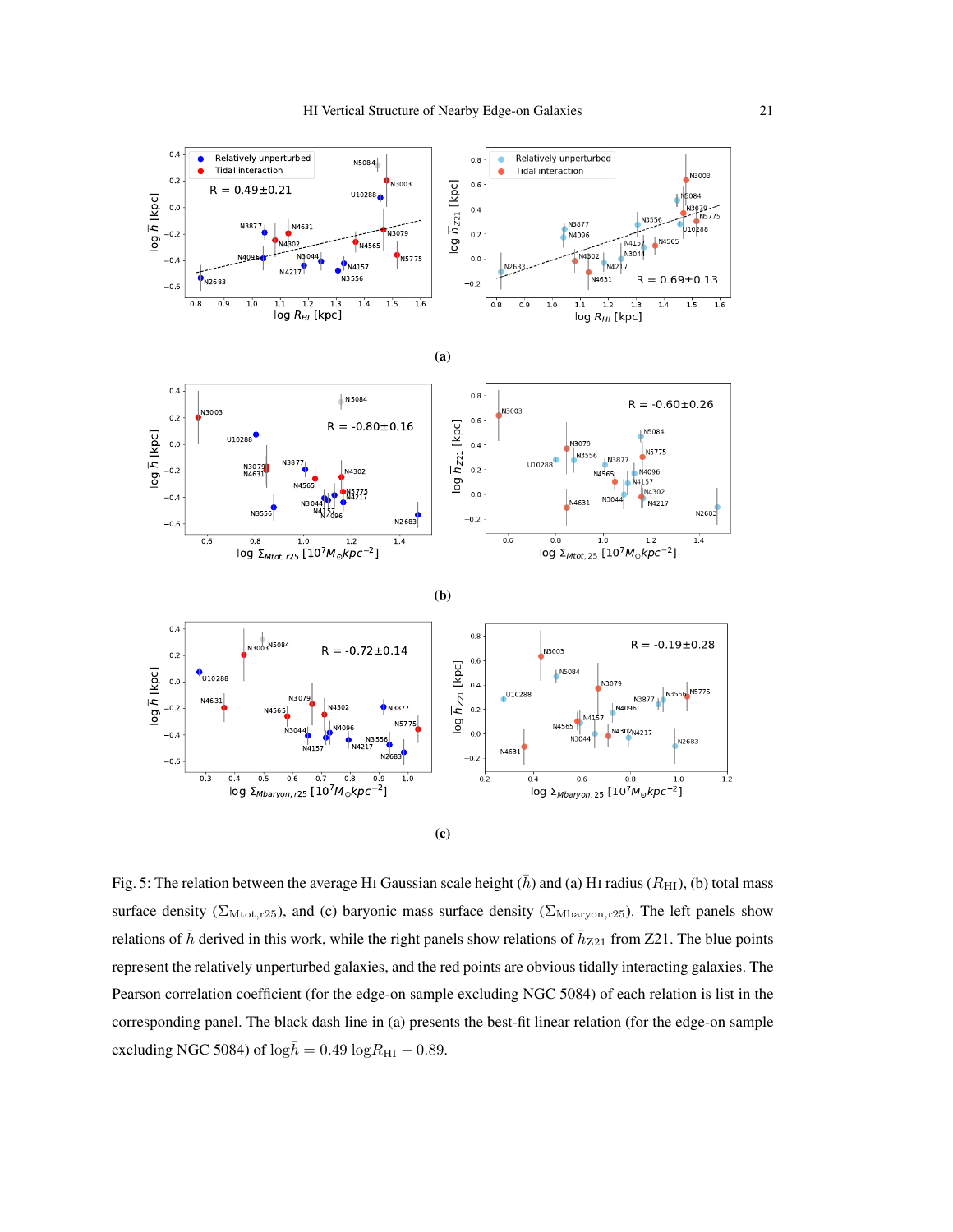<span id="page-20-0"></span>

Fig. 5: The relation between the average HI Gaussian scale height  $(\bar{h})$  and (a) HI radius ( $R_{\text{HI}}$ ), (b) total mass surface density ( $\Sigma_{\text{Mtot},r25}$ ), and (c) baryonic mass surface density ( $\Sigma_{\text{Mbaryon},r25}$ ). The left panels show relations of  $\bar{h}$  derived in this work, while the right panels show relations of  $\bar{h}_{Z21}$  from Z21. The blue points represent the relatively unperturbed galaxies, and the red points are obvious tidally interacting galaxies. The Pearson correlation coefficient (for the edge-on sample excluding NGC 5084) of each relation is list in the corresponding panel. The black dash line in (a) presents the best-fit linear relation (for the edge-on sample excluding NGC 5084) of  $\log \bar{h} = 0.49 \log R_{\rm HI} - 0.89$ .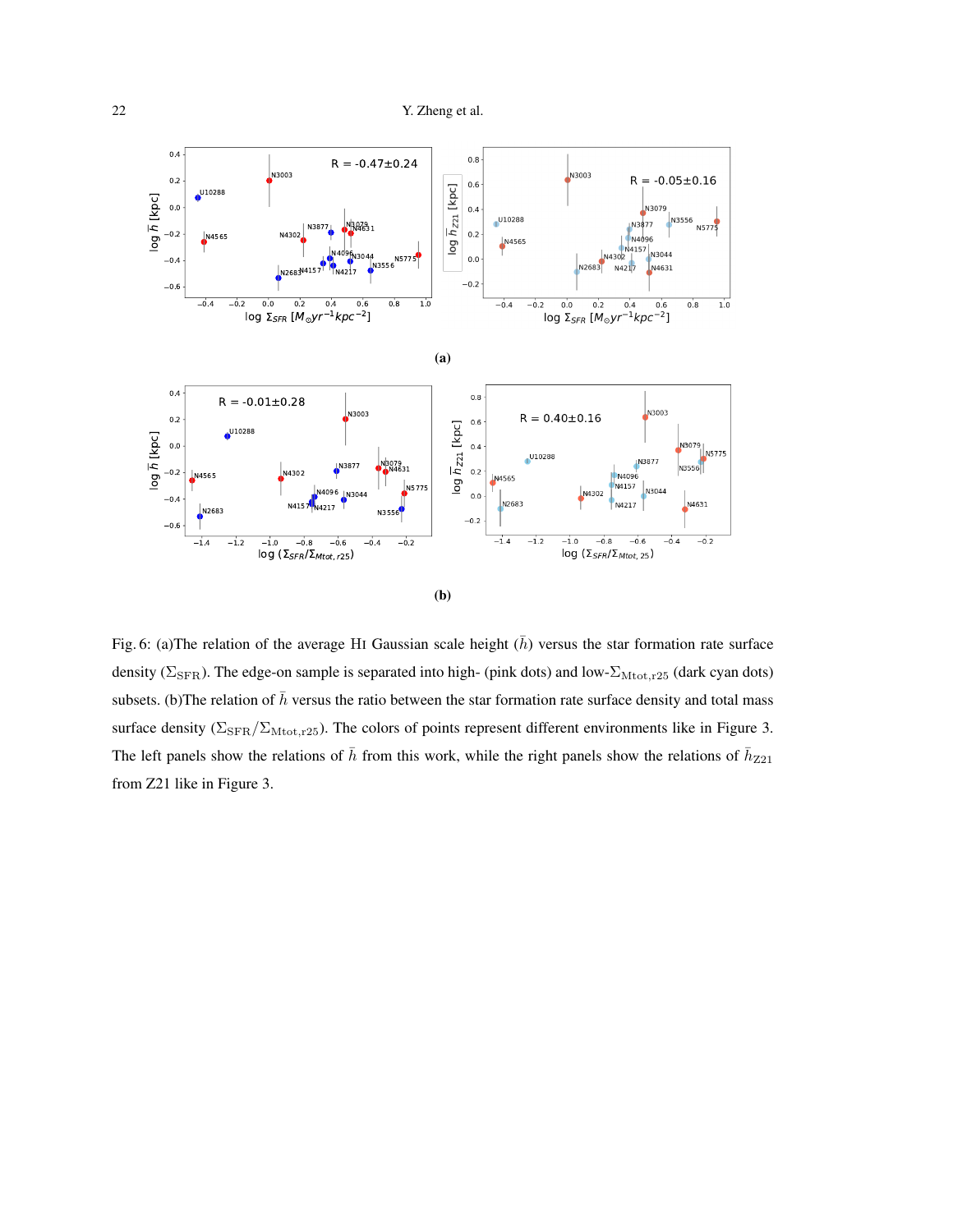<span id="page-21-0"></span>

Fig. 6: (a)The relation of the average HI Gaussian scale height  $(\bar{h})$  versus the star formation rate surface density ( $\Sigma_{\rm SFR}$ ). The edge-on sample is separated into high- (pink dots) and low- $\Sigma_{\rm Mtot,r25}$  (dark cyan dots) subsets. (b)The relation of  $\bar{h}$  versus the ratio between the star formation rate surface density and total mass surface density ( $\Sigma_{\rm SFR}/\Sigma_{\rm Mtot, r25}$ ). The colors of points represent different environments like in Figure 3. The left panels show the relations of  $\bar{h}$  from this work, while the right panels show the relations of  $\bar{h}_{Z21}$ from Z21 like in Figure 3.